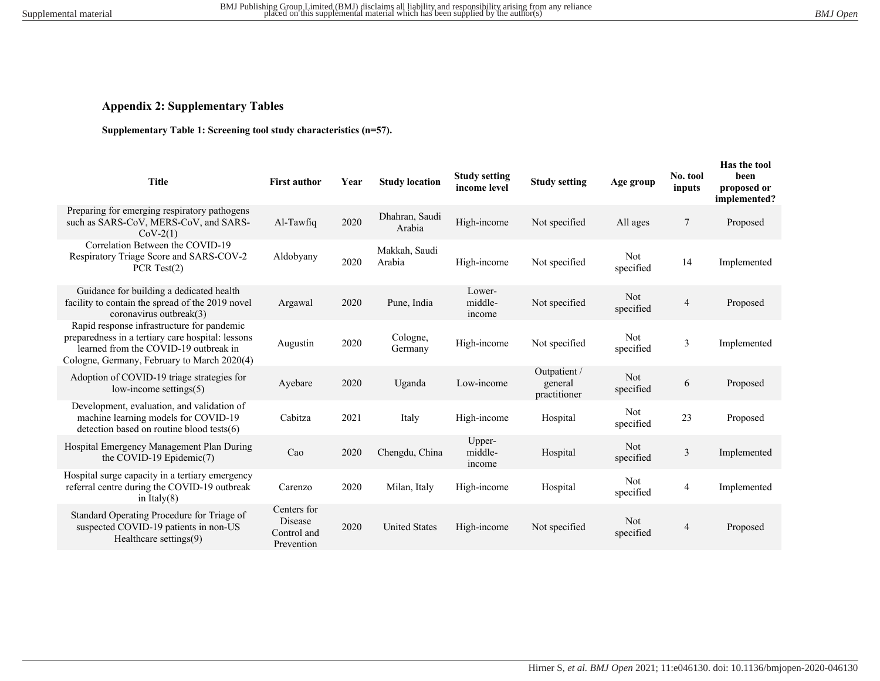# **Appendix 2: Supplementary Tables**

## **Supplementary Table 1: Screening tool study characteristics (n=57).**

| <b>First author</b>                                 | Year | <b>Study location</b>    | <b>Study setting</b><br>income level | <b>Study setting</b>                    | Age group               | No. tool<br>inputs | Has the tool<br>been<br>proposed or<br>implemented? |
|-----------------------------------------------------|------|--------------------------|--------------------------------------|-----------------------------------------|-------------------------|--------------------|-----------------------------------------------------|
| Al-Tawfiq                                           | 2020 | Dhahran, Saudi<br>Arabia | High-income                          | Not specified                           | All ages                | $\tau$             | Proposed                                            |
| Aldobyany                                           | 2020 | Makkah, Saudi<br>Arabia  | High-income                          | Not specified                           | Not<br>specified        | 14                 | Implemented                                         |
| Argawal                                             | 2020 | Pune, India              | Lower-<br>middle-<br>income          | Not specified                           | Not<br>specified        | $\overline{4}$     | Proposed                                            |
| Augustin                                            | 2020 | Cologne,<br>Germany      | High-income                          | Not specified                           | Not.<br>specified       | 3                  | Implemented                                         |
| Ayebare                                             | 2020 | Uganda                   | Low-income                           | Outpatient /<br>general<br>practitioner | Not<br>specified        | 6                  | Proposed                                            |
| Cabitza                                             | 2021 | Italy                    | High-income                          | Hospital                                | Not<br>specified        | 23                 | Proposed                                            |
| Cao                                                 | 2020 | Chengdu, China           | Upper-<br>middle-<br>income          | Hospital                                | Not<br>specified        | 3                  | Implemented                                         |
| Carenzo                                             | 2020 | Milan, Italy             | High-income                          | Hospital                                | <b>Not</b><br>specified | 4                  | Implemented                                         |
| Centers for<br>Disease<br>Control and<br>Prevention | 2020 | <b>United States</b>     | High-income                          | Not specified                           | Not<br>specified        | 4                  | Proposed                                            |
|                                                     |      |                          |                                      |                                         |                         |                    |                                                     |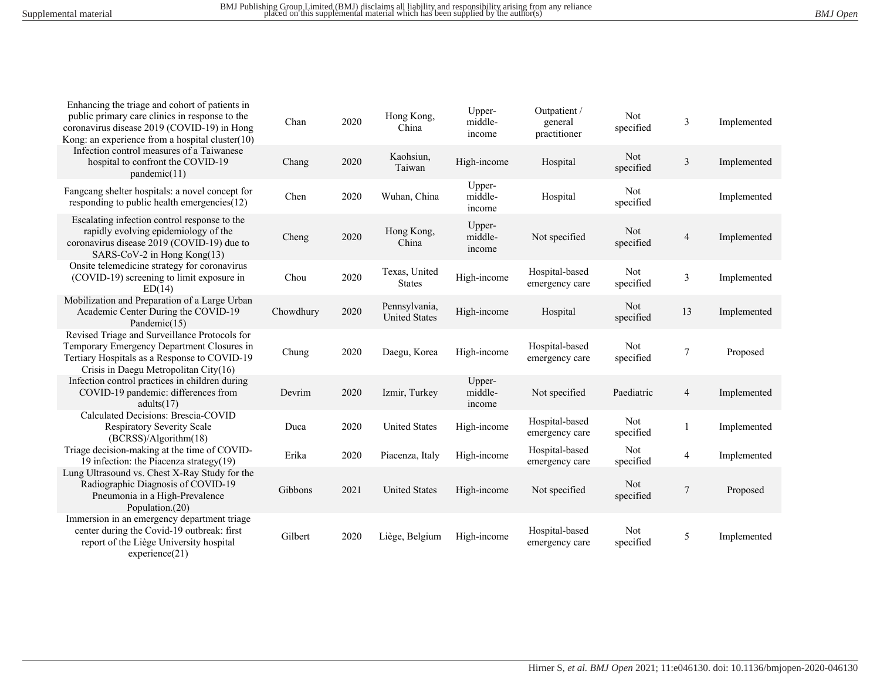| Enhancing the triage and cohort of patients in<br>public primary care clinics in response to the<br>coronavirus disease 2019 (COVID-19) in Hong<br>Kong: an experience from a hospital cluster(10) | Chan      | 2020 | Hong Kong,<br>China                   | Upper-<br>middle-<br>income | Outpatient /<br>general<br>practitioner | Not<br>specified | $\mathfrak{Z}$          | Implemented |
|----------------------------------------------------------------------------------------------------------------------------------------------------------------------------------------------------|-----------|------|---------------------------------------|-----------------------------|-----------------------------------------|------------------|-------------------------|-------------|
| Infection control measures of a Taiwanese<br>hospital to confront the COVID-19<br>pandemic(11)                                                                                                     | Chang     | 2020 | Kaohsiun,<br>Taiwan                   | High-income                 | Hospital                                | Not<br>specified | $\mathfrak{Z}$          | Implemented |
| Fangcang shelter hospitals: a novel concept for<br>responding to public health emergencies(12)                                                                                                     | Chen      | 2020 | Wuhan, China                          | Upper-<br>middle-<br>income | Hospital                                | Not<br>specified |                         | Implemented |
| Escalating infection control response to the<br>rapidly evolving epidemiology of the<br>coronavirus disease 2019 (COVID-19) due to<br>SARS-CoV-2 in Hong Kong(13)                                  | Cheng     | 2020 | Hong Kong,<br>China                   | Upper-<br>middle-<br>income | Not specified                           | Not<br>specified | $\overline{4}$          | Implemented |
| Onsite telemedicine strategy for coronavirus<br>(COVID-19) screening to limit exposure in<br>ED(14)                                                                                                | Chou      | 2020 | Texas, United<br><b>States</b>        | High-income                 | Hospital-based<br>emergency care        | Not<br>specified | $\overline{\mathbf{3}}$ | Implemented |
| Mobilization and Preparation of a Large Urban<br>Academic Center During the COVID-19<br>Pandemic(15)                                                                                               | Chowdhury | 2020 | Pennsylvania,<br><b>United States</b> | High-income                 | Hospital                                | Not<br>specified | 13                      | Implemented |
| Revised Triage and Surveillance Protocols for<br>Temporary Emergency Department Closures in<br>Tertiary Hospitals as a Response to COVID-19<br>Crisis in Daegu Metropolitan City(16)               | Chung     | 2020 | Daegu, Korea                          | High-income                 | Hospital-based<br>emergency care        | Not<br>specified | $\overline{7}$          | Proposed    |
| Infection control practices in children during<br>COVID-19 pandemic: differences from<br>adults(17)                                                                                                | Devrim    | 2020 | Izmir, Turkey                         | Upper-<br>middle-<br>income | Not specified                           | Paediatric       | $\overline{4}$          | Implemented |
| Calculated Decisions: Brescia-COVID<br><b>Respiratory Severity Scale</b><br>(BCRSS)/Algorithm(18)                                                                                                  | Duca      | 2020 | <b>United States</b>                  | High-income                 | Hospital-based<br>emergency care        | Not<br>specified | 1                       | Implemented |
| Triage decision-making at the time of COVID-<br>19 infection: the Piacenza strategy $(19)$                                                                                                         | Erika     | 2020 | Piacenza, Italy                       | High-income                 | Hospital-based<br>emergency care        | Not<br>specified | 4                       | Implemented |
| Lung Ultrasound vs. Chest X-Ray Study for the<br>Radiographic Diagnosis of COVID-19<br>Pneumonia in a High-Prevalence<br>Population.(20)                                                           | Gibbons   | 2021 | <b>United States</b>                  | High-income                 | Not specified                           | Not<br>specified | 7                       | Proposed    |
| Immersion in an emergency department triage<br>center during the Covid-19 outbreak: first<br>report of the Liège University hospital<br>experience(21)                                             | Gilbert   | 2020 | Liège, Belgium                        | High-income                 | Hospital-based<br>emergency care        | Not<br>specified | 5                       | Implemented |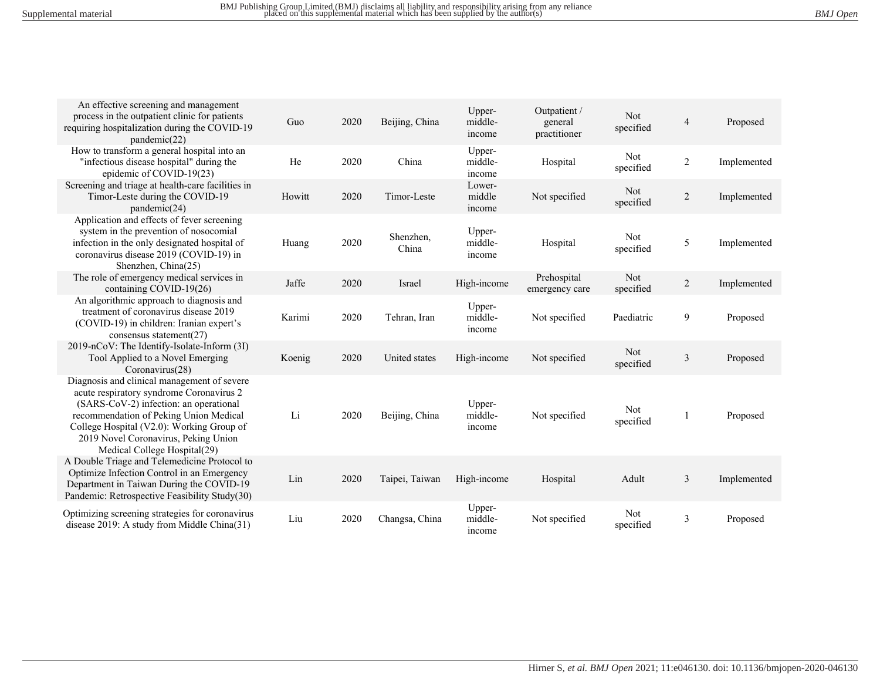| An effective screening and management<br>process in the outpatient clinic for patients<br>requiring hospitalization during the COVID-19<br>pandemic(22)                                                                                                                                          | Guo    | 2020 | Beijing, China     | Upper-<br>middle-<br>income | Outpatient /<br>general<br>practitioner | Not<br>specified | $\overline{4}$ | Proposed    |
|--------------------------------------------------------------------------------------------------------------------------------------------------------------------------------------------------------------------------------------------------------------------------------------------------|--------|------|--------------------|-----------------------------|-----------------------------------------|------------------|----------------|-------------|
| How to transform a general hospital into an<br>"infectious disease hospital" during the<br>epidemic of COVID-19(23)                                                                                                                                                                              | He     | 2020 | China              | Upper-<br>middle-<br>income | Hospital                                | Not<br>specified | $\overline{2}$ | Implemented |
| Screening and triage at health-care facilities in<br>Timor-Leste during the COVID-19<br>pandemic(24)                                                                                                                                                                                             | Howitt | 2020 | Timor-Leste        | Lower-<br>middle<br>income  | Not specified                           | Not<br>specified | $\overline{2}$ | Implemented |
| Application and effects of fever screening<br>system in the prevention of nosocomial<br>infection in the only designated hospital of<br>coronavirus disease 2019 (COVID-19) in<br>Shenzhen, China(25)                                                                                            | Huang  | 2020 | Shenzhen,<br>China | Upper-<br>middle-<br>income | Hospital                                | Not<br>specified | 5              | Implemented |
| The role of emergency medical services in<br>containing COVID-19(26)                                                                                                                                                                                                                             | Jaffe  | 2020 | Israel             | High-income                 | Prehospital<br>emergency care           | Not<br>specified | $\overline{c}$ | Implemented |
| An algorithmic approach to diagnosis and<br>treatment of coronavirus disease 2019<br>(COVID-19) in children: Iranian expert's<br>consensus statement $(27)$                                                                                                                                      | Karimi | 2020 | Tehran, Iran       | Upper-<br>middle-<br>income | Not specified                           | Paediatric       | 9              | Proposed    |
| 2019-nCoV: The Identify-Isolate-Inform (3I)<br>Tool Applied to a Novel Emerging<br>Coronavirus(28)                                                                                                                                                                                               | Koenig | 2020 | United states      | High-income                 | Not specified                           | Not<br>specified | $\overline{3}$ | Proposed    |
| Diagnosis and clinical management of severe<br>acute respiratory syndrome Coronavirus 2<br>(SARS-CoV-2) infection: an operational<br>recommendation of Peking Union Medical<br>College Hospital (V2.0): Working Group of<br>2019 Novel Coronavirus, Peking Union<br>Medical College Hospital(29) | Li     | 2020 | Beijing, China     | Upper-<br>middle-<br>income | Not specified                           | Not<br>specified |                | Proposed    |
| A Double Triage and Telemedicine Protocol to<br>Optimize Infection Control in an Emergency<br>Department in Taiwan During the COVID-19<br>Pandemic: Retrospective Feasibility Study(30)                                                                                                          | Lin    | 2020 | Taipei, Taiwan     | High-income                 | Hospital                                | Adult            | 3              | Implemented |
| Optimizing screening strategies for coronavirus<br>disease 2019: A study from Middle China(31)                                                                                                                                                                                                   | Liu    | 2020 | Changsa, China     | Upper-<br>middle-<br>income | Not specified                           | Not<br>specified | 3              | Proposed    |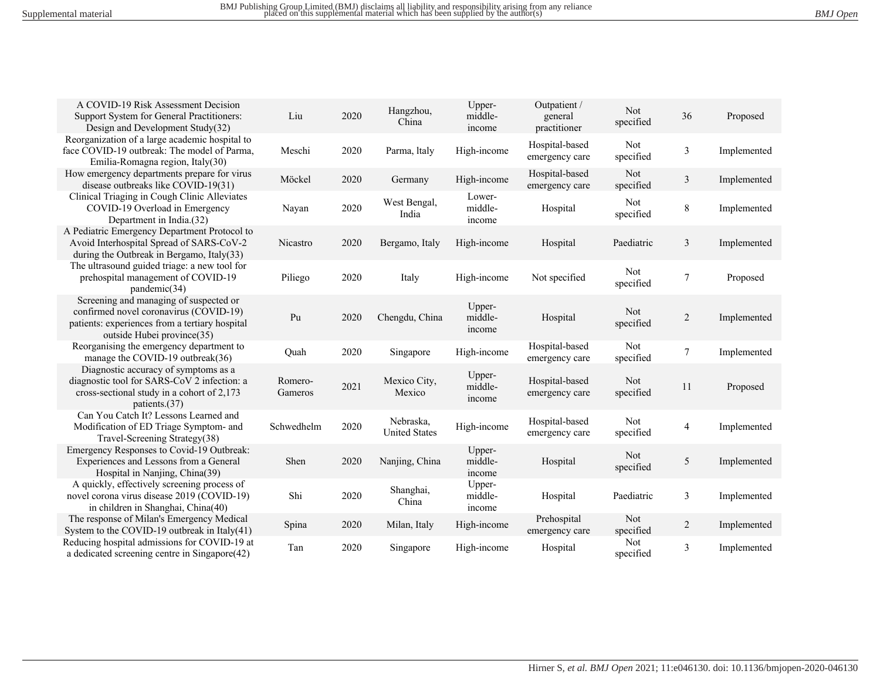| A COVID-19 Risk Assessment Decision<br>Support System for General Practitioners:                                                                                 | Liu                     | 2020 | Hangzhou,                         | Upper-<br>middle-           | Outpatient /<br>general          | Not                     | 36             | Proposed    |
|------------------------------------------------------------------------------------------------------------------------------------------------------------------|-------------------------|------|-----------------------------------|-----------------------------|----------------------------------|-------------------------|----------------|-------------|
| Design and Development Study(32)                                                                                                                                 |                         |      | China                             | income                      | practitioner                     | specified               |                |             |
| Reorganization of a large academic hospital to<br>face COVID-19 outbreak: The model of Parma,<br>Emilia-Romagna region, Italy(30)                                | Meschi                  | 2020 | Parma, Italy                      | High-income                 | Hospital-based<br>emergency care | Not<br>specified        | 3              | Implemented |
| How emergency departments prepare for virus<br>disease outbreaks like COVID-19(31)                                                                               | Möckel                  | 2020 | Germany                           | High-income                 | Hospital-based<br>emergency care | Not<br>specified        | 3              | Implemented |
| Clinical Triaging in Cough Clinic Alleviates<br>COVID-19 Overload in Emergency<br>Department in India.(32)                                                       | Nayan                   | 2020 | West Bengal,<br>India             | Lower-<br>middle-<br>income | Hospital                         | <b>Not</b><br>specified | 8              | Implemented |
| A Pediatric Emergency Department Protocol to<br>Avoid Interhospital Spread of SARS-CoV-2<br>during the Outbreak in Bergamo, Italy $(33)$                         | Nicastro                | 2020 | Bergamo, Italy                    | High-income                 | Hospital                         | Paediatric              | 3              | Implemented |
| The ultrasound guided triage: a new tool for<br>prehospital management of COVID-19<br>pandemic(34)                                                               | Piliego                 | 2020 | Italy                             | High-income                 | Not specified                    | Not<br>specified        | $\tau$         | Proposed    |
| Screening and managing of suspected or<br>confirmed novel coronavirus (COVID-19)<br>patients: experiences from a tertiary hospital<br>outside Hubei province(35) | $\mathbf{p}_\mathbf{u}$ | 2020 | Chengdu, China                    | Upper-<br>middle-<br>income | Hospital                         | Not<br>specified        | $\overline{2}$ | Implemented |
| Reorganising the emergency department to<br>manage the COVID-19 outbreak(36)                                                                                     | Quah                    | 2020 | Singapore                         | High-income                 | Hospital-based<br>emergency care | Not<br>specified        | $\tau$         | Implemented |
| Diagnostic accuracy of symptoms as a<br>diagnostic tool for SARS-CoV 2 infection: a<br>cross-sectional study in a cohort of 2,173<br>patients.(37)               | Romero-<br>Gameros      | 2021 | Mexico City,<br>Mexico            | Upper-<br>middle-<br>income | Hospital-based<br>emergency care | Not<br>specified        | 11             | Proposed    |
| Can You Catch It? Lessons Learned and<br>Modification of ED Triage Symptom- and<br>Travel-Screening Strategy(38)                                                 | Schwedhelm              | 2020 | Nebraska,<br><b>United States</b> | High-income                 | Hospital-based<br>emergency care | Not<br>specified        | 4              | Implemented |
| Emergency Responses to Covid-19 Outbreak:<br>Experiences and Lessons from a General<br>Hospital in Nanjing, China(39)                                            | Shen                    | 2020 | Nanjing, China                    | Upper-<br>middle-<br>income | Hospital                         | Not<br>specified        | 5              | Implemented |
| A quickly, effectively screening process of<br>novel corona virus disease 2019 (COVID-19)<br>in children in Shanghai, China(40)                                  | Shi                     | 2020 | Shanghai,<br>China                | Upper-<br>middle-<br>income | Hospital                         | Paediatric              | $\mathfrak{Z}$ | Implemented |
| The response of Milan's Emergency Medical<br>System to the COVID-19 outbreak in Italy $(41)$                                                                     | Spina                   | 2020 | Milan, Italy                      | High-income                 | Prehospital<br>emergency care    | Not<br>specified        | $\overline{c}$ | Implemented |
| Reducing hospital admissions for COVID-19 at<br>a dedicated screening centre in Singapore(42)                                                                    | Tan                     | 2020 | Singapore                         | High-income                 | Hospital                         | Not<br>specified        | 3              | Implemented |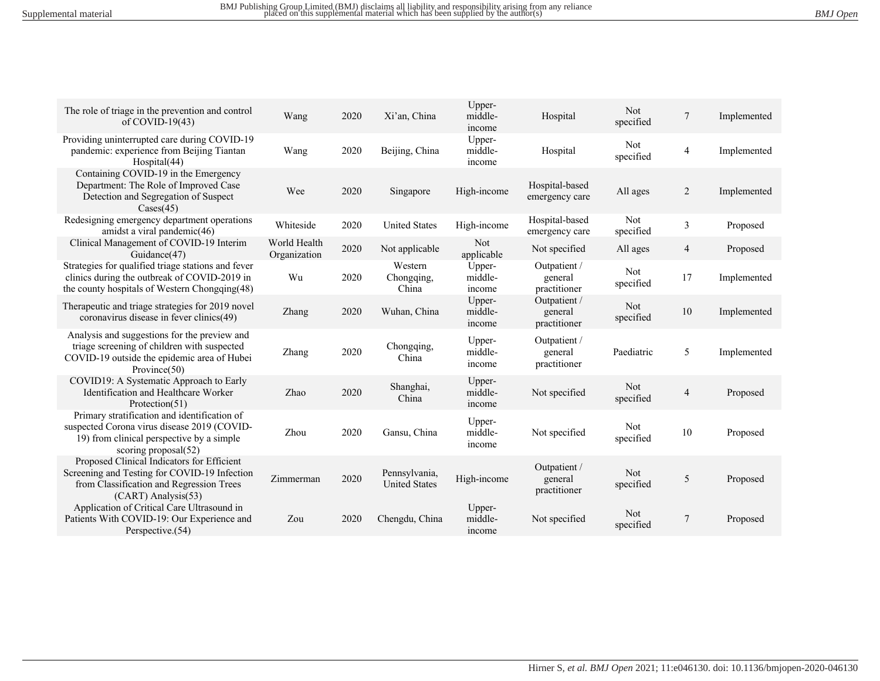| The role of triage in the prevention and control<br>of COVID-19 $(43)$                                                                                              | Wang                         | 2020 | Xi'an, China                          | Upper-<br>middle-<br>income | Hospital                                | Not<br>specified | 7              | Implemented |
|---------------------------------------------------------------------------------------------------------------------------------------------------------------------|------------------------------|------|---------------------------------------|-----------------------------|-----------------------------------------|------------------|----------------|-------------|
| Providing uninterrupted care during COVID-19<br>pandemic: experience from Beijing Tiantan<br>Hospital(44)                                                           | Wang                         | 2020 | Beijing, China                        | Upper-<br>middle-<br>income | Hospital                                | Not<br>specified | 4              | Implemented |
| Containing COVID-19 in the Emergency<br>Department: The Role of Improved Case<br>Detection and Segregation of Suspect<br>$\text{Cases}(45)$                         | Wee                          | 2020 | Singapore                             | High-income                 | Hospital-based<br>emergency care        | All ages         | $\overline{2}$ | Implemented |
| Redesigning emergency department operations<br>amidst a viral pandemic(46)                                                                                          | Whiteside                    | 2020 | <b>United States</b>                  | High-income                 | Hospital-based<br>emergency care        | Not<br>specified | $\overline{3}$ | Proposed    |
| Clinical Management of COVID-19 Interim<br>Guidance(47)                                                                                                             | World Health<br>Organization | 2020 | Not applicable                        | Not<br>applicable           | Not specified                           | All ages         | 4              | Proposed    |
| Strategies for qualified triage stations and fever<br>clinics during the outbreak of COVID-2019 in<br>the county hospitals of Western Chongqing(48)                 | Wu                           | 2020 | Western<br>Chongqing,<br>China        | Upper-<br>middle-<br>income | Outpatient /<br>general<br>practitioner | Not<br>specified | 17             | Implemented |
| Therapeutic and triage strategies for 2019 novel<br>coronavirus disease in fever clinics(49)                                                                        | Zhang                        | 2020 | Wuhan, China                          | Upper-<br>middle-<br>income | Outpatient /<br>general<br>practitioner | Not<br>specified | 10             | Implemented |
| Analysis and suggestions for the preview and<br>triage screening of children with suspected<br>COVID-19 outside the epidemic area of Hubei<br>Province $(50)$       | Zhang                        | 2020 | Chongqing,<br>China                   | Upper-<br>middle-<br>income | Outpatient /<br>general<br>practitioner | Paediatric       | 5              | Implemented |
| COVID19: A Systematic Approach to Early<br>Identification and Healthcare Worker<br>Protection(51)                                                                   | Zhao                         | 2020 | Shanghai,<br>China                    | Upper-<br>middle-<br>income | Not specified                           | Not<br>specified | 4              | Proposed    |
| Primary stratification and identification of<br>suspected Corona virus disease 2019 (COVID-<br>19) from clinical perspective by a simple<br>scoring proposal $(52)$ | Zhou                         | 2020 | Gansu, China                          | Upper-<br>middle-<br>income | Not specified                           | Not<br>specified | 10             | Proposed    |
| Proposed Clinical Indicators for Efficient<br>Screening and Testing for COVID-19 Infection<br>from Classification and Regression Trees<br>(CART) Analysis(53)       | Zimmerman                    | 2020 | Pennsylvania,<br><b>United States</b> | High-income                 | Outpatient /<br>general<br>practitioner | Not<br>specified | 5              | Proposed    |
| Application of Critical Care Ultrasound in<br>Patients With COVID-19: Our Experience and<br>Perspective.(54)                                                        | Zou                          | 2020 | Chengdu, China                        | Upper-<br>middle-<br>income | Not specified                           | Not<br>specified | 7              | Proposed    |
|                                                                                                                                                                     |                              |      |                                       |                             |                                         |                  |                |             |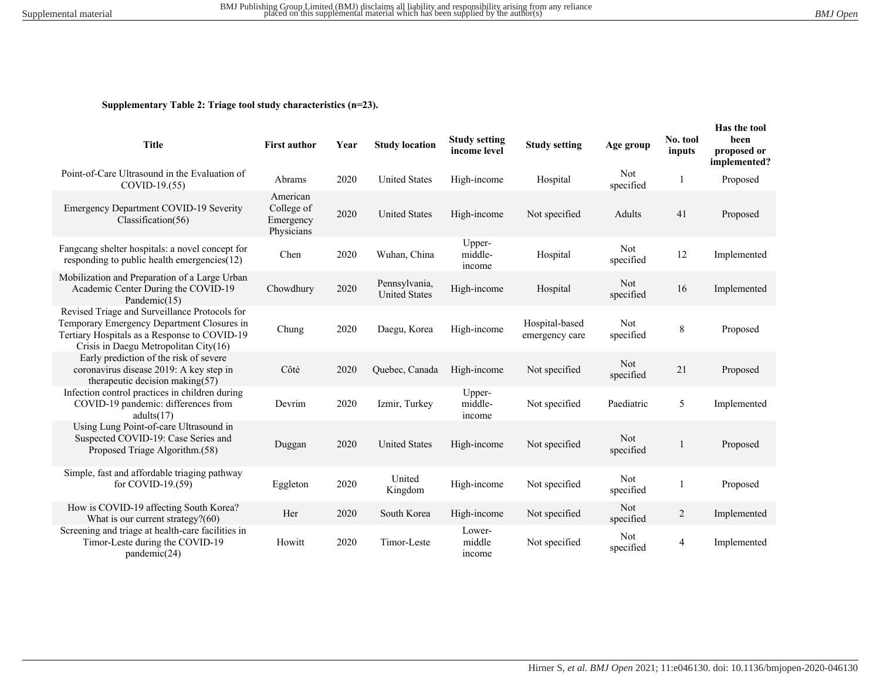### **Supplementary Table 2: Triage tool study characteristics (n=23).**

| <b>Title</b>                                                                                                                                                                         | <b>First author</b>                               | Year | <b>Study location</b>                 | <b>Study setting</b><br>income level | <b>Study setting</b>             | Age group        | No. tool<br>inputs | Has the tool<br>been<br>proposed or<br>implemented? |
|--------------------------------------------------------------------------------------------------------------------------------------------------------------------------------------|---------------------------------------------------|------|---------------------------------------|--------------------------------------|----------------------------------|------------------|--------------------|-----------------------------------------------------|
| Point-of-Care Ultrasound in the Evaluation of<br>COVID-19.(55)                                                                                                                       | Abrams                                            | 2020 | <b>United States</b>                  | High-income                          | Hospital                         | Not<br>specified | 1                  | Proposed                                            |
| Emergency Department COVID-19 Severity<br>Classification(56)                                                                                                                         | American<br>College of<br>Emergency<br>Physicians | 2020 | <b>United States</b>                  | High-income                          | Not specified                    | Adults           | 41                 | Proposed                                            |
| Fangcang shelter hospitals: a novel concept for<br>responding to public health emergencies $(12)$                                                                                    | Chen                                              | 2020 | Wuhan, China                          | Upper-<br>middle-<br>income          | Hospital                         | Not<br>specified | 12                 | Implemented                                         |
| Mobilization and Preparation of a Large Urban<br>Academic Center During the COVID-19<br>Pandemic(15)                                                                                 | Chowdhury                                         | 2020 | Pennsylvania,<br><b>United States</b> | High-income                          | Hospital                         | Not<br>specified | 16                 | Implemented                                         |
| Revised Triage and Surveillance Protocols for<br>Temporary Emergency Department Closures in<br>Tertiary Hospitals as a Response to COVID-19<br>Crisis in Daegu Metropolitan City(16) | Chung                                             | 2020 | Daegu, Korea                          | High-income                          | Hospital-based<br>emergency care | Not<br>specified | 8                  | Proposed                                            |
| Early prediction of the risk of severe<br>coronavirus disease 2019: A key step in<br>therapeutic decision making $(57)$                                                              | Côté                                              | 2020 | Quebec, Canada                        | High-income                          | Not specified                    | Not<br>specified | 21                 | Proposed                                            |
| Infection control practices in children during<br>COVID-19 pandemic: differences from<br>adults(17)                                                                                  | Devrim                                            | 2020 | Izmir, Turkey                         | Upper-<br>middle-<br>income          | Not specified                    | Paediatric       | 5                  | Implemented                                         |
| Using Lung Point-of-care Ultrasound in<br>Suspected COVID-19: Case Series and<br>Proposed Triage Algorithm.(58)                                                                      | Duggan                                            | 2020 | <b>United States</b>                  | High-income                          | Not specified                    | Not<br>specified | 1                  | Proposed                                            |
| Simple, fast and affordable triaging pathway<br>for COVID-19. $(59)$                                                                                                                 | Eggleton                                          | 2020 | United<br>Kingdom                     | High-income                          | Not specified                    | Not<br>specified | 1                  | Proposed                                            |
| How is COVID-19 affecting South Korea?<br>What is our current strategy?(60)                                                                                                          | Her                                               | 2020 | South Korea                           | High-income                          | Not specified                    | Not<br>specified | $\overline{2}$     | Implemented                                         |
| Screening and triage at health-care facilities in<br>Timor-Leste during the COVID-19<br>pandemic(24)                                                                                 | Howitt                                            | 2020 | Timor-Leste                           | Lower-<br>middle<br>income           | Not specified                    | Not<br>specified | 4                  | Implemented                                         |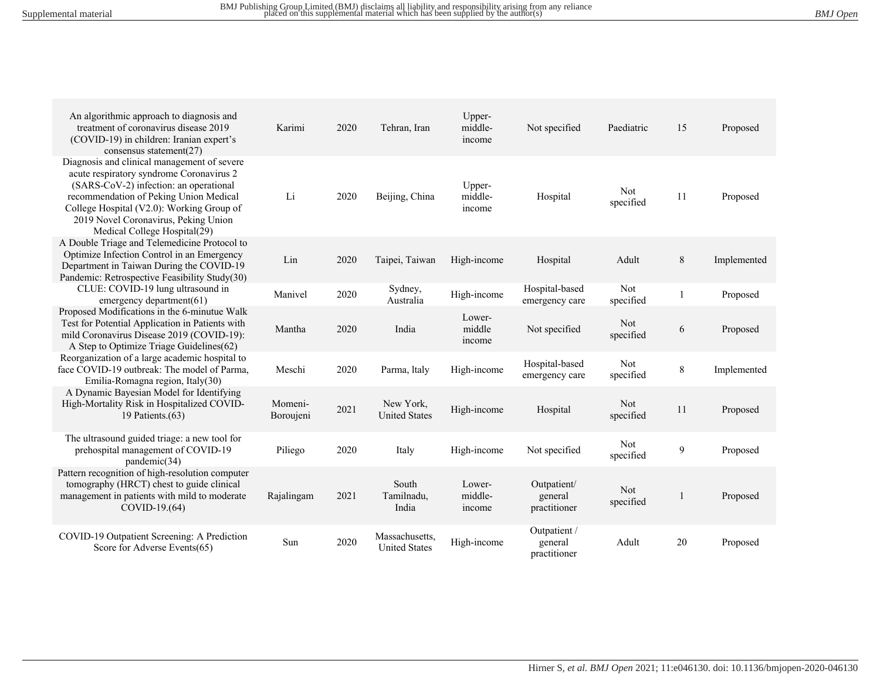| An algorithmic approach to diagnosis and<br>treatment of coronavirus disease 2019<br>(COVID-19) in children: Iranian expert's<br>consensus statement $(27)$                                                                                                                                      | Karimi               | 2020 | Tehran, Iran                           | Upper-<br>middle-<br>income | Not specified                           | Paediatric       | 15 | Proposed    |
|--------------------------------------------------------------------------------------------------------------------------------------------------------------------------------------------------------------------------------------------------------------------------------------------------|----------------------|------|----------------------------------------|-----------------------------|-----------------------------------------|------------------|----|-------------|
| Diagnosis and clinical management of severe<br>acute respiratory syndrome Coronavirus 2<br>(SARS-CoV-2) infection: an operational<br>recommendation of Peking Union Medical<br>College Hospital (V2.0): Working Group of<br>2019 Novel Coronavirus, Peking Union<br>Medical College Hospital(29) | Li                   | 2020 | Beijing, China                         | Upper-<br>middle-<br>income | Hospital                                | Not<br>specified | 11 | Proposed    |
| A Double Triage and Telemedicine Protocol to<br>Optimize Infection Control in an Emergency<br>Department in Taiwan During the COVID-19<br>Pandemic: Retrospective Feasibility Study(30)                                                                                                          | Lin                  | 2020 | Taipei, Taiwan                         | High-income                 | Hospital                                | Adult            | 8  | Implemented |
| CLUE: COVID-19 lung ultrasound in<br>emergency department $(61)$                                                                                                                                                                                                                                 | Manivel              | 2020 | Sydney,<br>Australia                   | High-income                 | Hospital-based<br>emergency care        | Not<br>specified |    | Proposed    |
| Proposed Modifications in the 6-minutue Walk<br>Test for Potential Application in Patients with<br>mild Coronavirus Disease 2019 (COVID-19):<br>A Step to Optimize Triage Guidelines(62)                                                                                                         | Mantha               | 2020 | India                                  | Lower-<br>middle<br>income  | Not specified                           | Not<br>specified | 6  | Proposed    |
| Reorganization of a large academic hospital to<br>face COVID-19 outbreak: The model of Parma.<br>Emilia-Romagna region, Italy(30)                                                                                                                                                                | Meschi               | 2020 | Parma, Italy                           | High-income                 | Hospital-based<br>emergency care        | Not<br>specified | 8  | Implemented |
| A Dynamic Bayesian Model for Identifying<br>High-Mortality Risk in Hospitalized COVID-<br>19 Patients. $(63)$                                                                                                                                                                                    | Momeni-<br>Boroujeni | 2021 | New York,<br><b>United States</b>      | High-income                 | Hospital                                | Not<br>specified | 11 | Proposed    |
| The ultrasound guided triage: a new tool for<br>prehospital management of COVID-19<br>pandemic(34)                                                                                                                                                                                               | Piliego              | 2020 | Italy                                  | High-income                 | Not specified                           | Not<br>specified | 9  | Proposed    |
| Pattern recognition of high-resolution computer<br>tomography (HRCT) chest to guide clinical<br>management in patients with mild to moderate<br>COVID-19.(64)                                                                                                                                    | Rajalingam           | 2021 | South<br>Tamilnadu.<br>India           | Lower-<br>middle-<br>income | Outpatient/<br>general<br>practitioner  | Not<br>specified |    | Proposed    |
| COVID-19 Outpatient Screening: A Prediction<br>Score for Adverse Events(65)                                                                                                                                                                                                                      | Sun                  | 2020 | Massachusetts,<br><b>United States</b> | High-income                 | Outpatient /<br>general<br>practitioner | Adult            | 20 | Proposed    |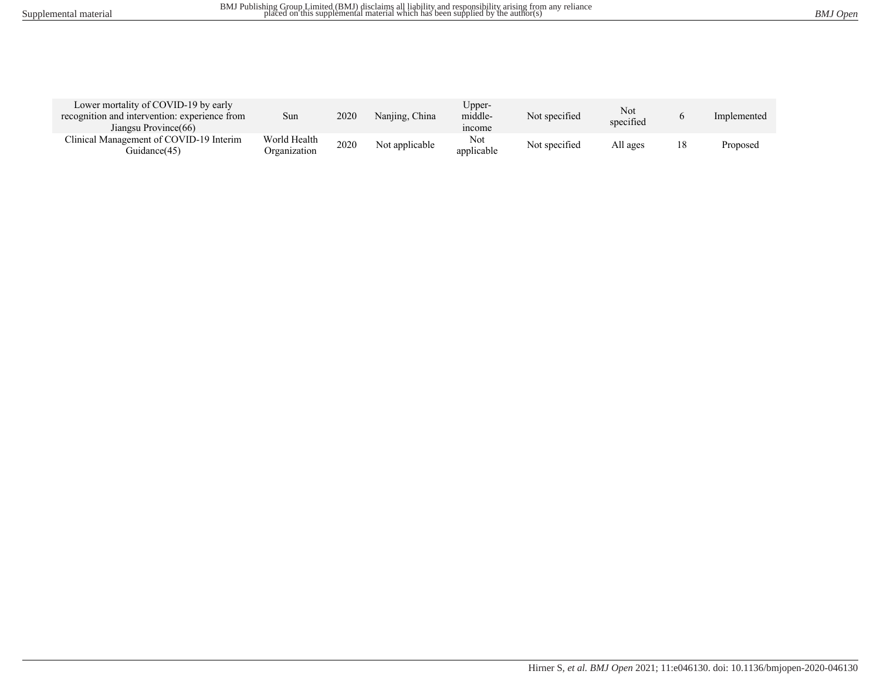| Lower mortality of COVID-19 by early<br>recognition and intervention: experience from<br>Jiangsu Province(66) | Sun                          | 2020 | Nanjing, China | ∪pper-<br>middle-<br>mcome | Not specified | Not<br>specified |    | Implemented |
|---------------------------------------------------------------------------------------------------------------|------------------------------|------|----------------|----------------------------|---------------|------------------|----|-------------|
| Clinical Management of COVID-19 Interim<br>Guidance(45)                                                       | World Health<br>Organization | 2020 | Not applicable | Not<br>applicable          | Not specified | All ages         | 18 | Proposed    |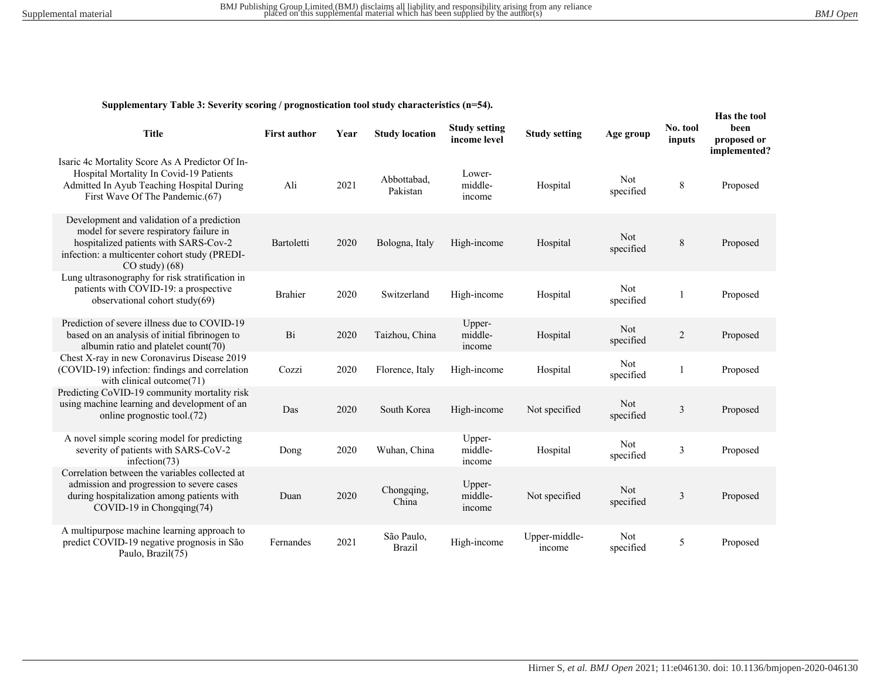**Supplementary Table 3: Severity scoring / prognostication tool study characteristics (n=54).**

| <b>Title</b>                                                                                                                                                                                          | <b>First author</b> | Year | <b>Study location</b>       | <b>Study setting</b><br>income level | <b>Study setting</b>    | Age group        | No. tool<br>inputs | Has the tool<br>been<br>proposed or<br>implemented? |
|-------------------------------------------------------------------------------------------------------------------------------------------------------------------------------------------------------|---------------------|------|-----------------------------|--------------------------------------|-------------------------|------------------|--------------------|-----------------------------------------------------|
| Isaric 4c Mortality Score As A Predictor Of In-<br>Hospital Mortality In Covid-19 Patients<br>Admitted In Ayub Teaching Hospital During<br>First Wave Of The Pandemic.(67)                            | Ali                 | 2021 | Abbottabad,<br>Pakistan     | Lower-<br>middle-<br>income          | Hospital                | Not<br>specified | 8                  | Proposed                                            |
| Development and validation of a prediction<br>model for severe respiratory failure in<br>hospitalized patients with SARS-Cov-2<br>infection: a multicenter cohort study (PREDI-<br>$CO$ study $)(68)$ | Bartoletti          | 2020 | Bologna, Italy              | High-income                          | Hospital                | Not<br>specified | $\,$ 8 $\,$        | Proposed                                            |
| Lung ultrasonography for risk stratification in<br>patients with COVID-19: a prospective<br>observational cohort study(69)                                                                            | <b>Brahier</b>      | 2020 | Switzerland                 | High-income                          | Hospital                | Not<br>specified |                    | Proposed                                            |
| Prediction of severe illness due to COVID-19<br>based on an analysis of initial fibrinogen to<br>albumin ratio and platelet count(70)                                                                 | Bi                  | 2020 | Taizhou, China              | Upper-<br>middle-<br>income          | Hospital                | Not<br>specified | $\overline{c}$     | Proposed                                            |
| Chest X-ray in new Coronavirus Disease 2019<br>(COVID-19) infection: findings and correlation<br>with clinical outcome(71)                                                                            | Cozzi               | 2020 | Florence, Italy             | High-income                          | Hospital                | Not<br>specified | 1                  | Proposed                                            |
| Predicting CoVID-19 community mortality risk<br>using machine learning and development of an<br>online prognostic tool.(72)                                                                           | Das                 | 2020 | South Korea                 | High-income                          | Not specified           | Not<br>specified | $\mathfrak z$      | Proposed                                            |
| A novel simple scoring model for predicting<br>severity of patients with SARS-CoV-2<br>infection $(73)$                                                                                               | Dong                | 2020 | Wuhan, China                | Upper-<br>middle-<br>income          | Hospital                | Not<br>specified | 3                  | Proposed                                            |
| Correlation between the variables collected at<br>admission and progression to severe cases<br>during hospitalization among patients with<br>$COVID-19$ in Chongqing(74)                              | Duan                | 2020 | Chongqing,<br>China         | Upper-<br>middle-<br>income          | Not specified           | Not<br>specified | $\mathfrak{Z}$     | Proposed                                            |
| A multipurpose machine learning approach to<br>predict COVID-19 negative prognosis in São<br>Paulo, Brazil(75)                                                                                        | Fernandes           | 2021 | São Paulo,<br><b>Brazil</b> | High-income                          | Upper-middle-<br>income | Not<br>specified | 5                  | Proposed                                            |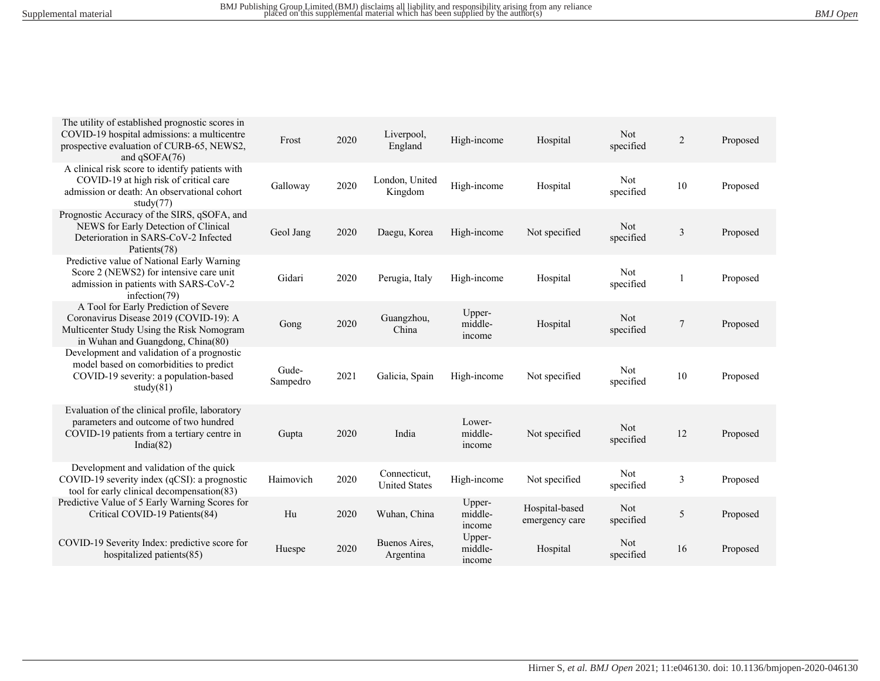| The utility of established prognostic scores in<br>COVID-19 hospital admissions: a multicentre<br>prospective evaluation of CURB-65, NEWS2,<br>and qSOFA(76)      | Frost             | 2020 | Liverpool,<br>England                | High-income                 | Hospital                         | Not<br>specified | $\sqrt{2}$     | Proposed |
|-------------------------------------------------------------------------------------------------------------------------------------------------------------------|-------------------|------|--------------------------------------|-----------------------------|----------------------------------|------------------|----------------|----------|
| A clinical risk score to identify patients with<br>COVID-19 at high risk of critical care<br>admission or death: An observational cohort<br>study $(77)$          | Galloway          | 2020 | London, United<br>Kingdom            | High-income                 | Hospital                         | Not<br>specified | 10             | Proposed |
| Prognostic Accuracy of the SIRS, qSOFA, and<br>NEWS for Early Detection of Clinical<br>Deterioration in SARS-CoV-2 Infected<br>Patients(78)                       | Geol Jang         | 2020 | Daegu, Korea                         | High-income                 | Not specified                    | Not<br>specified | 3              | Proposed |
| Predictive value of National Early Warning<br>Score 2 (NEWS2) for intensive care unit<br>admission in patients with SARS-CoV-2<br>infection $(79)$                | Gidari            | 2020 | Perugia, Italy                       | High-income                 | Hospital                         | Not<br>specified | 1              | Proposed |
| A Tool for Early Prediction of Severe<br>Coronavirus Disease 2019 (COVID-19): A<br>Multicenter Study Using the Risk Nomogram<br>in Wuhan and Guangdong, China(80) | Gong              | 2020 | Guangzhou,<br>China                  | Upper-<br>middle-<br>income | Hospital                         | Not<br>specified | $\overline{7}$ | Proposed |
| Development and validation of a prognostic<br>model based on comorbidities to predict<br>COVID-19 severity: a population-based<br>study $(81)$                    | Gude-<br>Sampedro | 2021 | Galicia, Spain                       | High-income                 | Not specified                    | Not<br>specified | 10             | Proposed |
| Evaluation of the clinical profile, laboratory<br>parameters and outcome of two hundred<br>COVID-19 patients from a tertiary centre in<br>India $(82)$            | Gupta             | 2020 | India                                | Lower-<br>middle-<br>income | Not specified                    | Not<br>specified | 12             | Proposed |
| Development and validation of the quick<br>COVID-19 severity index (qCSI): a prognostic<br>tool for early clinical decompensation (83)                            | Haimovich         | 2020 | Connecticut,<br><b>United States</b> | High-income                 | Not specified                    | Not<br>specified | 3              | Proposed |
| Predictive Value of 5 Early Warning Scores for<br>Critical COVID-19 Patients(84)                                                                                  | Hu                | 2020 | Wuhan, China                         | Upper-<br>middle-<br>income | Hospital-based<br>emergency care | Not<br>specified | 5              | Proposed |
| COVID-19 Severity Index: predictive score for<br>hospitalized patients(85)                                                                                        | Huespe            | 2020 | Buenos Aires,<br>Argentina           | Upper-<br>middle-<br>income | Hospital                         | Not<br>specified | 16             | Proposed |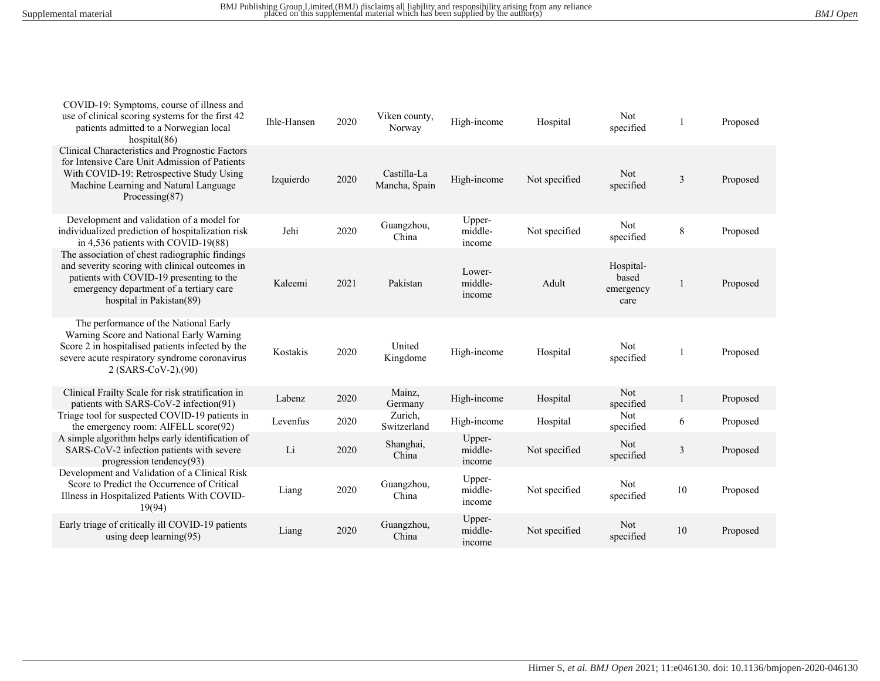| COVID-19: Symptoms, course of illness and<br>use of clinical scoring systems for the first 42<br>patients admitted to a Norwegian local<br>hospital(86)                                                             | Ihle-Hansen | 2020 | Viken county,<br>Norway      | High-income                 | Hospital      | Not<br>specified                        | 1              | Proposed |
|---------------------------------------------------------------------------------------------------------------------------------------------------------------------------------------------------------------------|-------------|------|------------------------------|-----------------------------|---------------|-----------------------------------------|----------------|----------|
| Clinical Characteristics and Prognostic Factors<br>for Intensive Care Unit Admission of Patients<br>With COVID-19: Retrospective Study Using<br>Machine Learning and Natural Language<br>Processing $(87)$          | Izquierdo   | 2020 | Castilla-La<br>Mancha, Spain | High-income                 | Not specified | <b>Not</b><br>specified                 | $\overline{3}$ | Proposed |
| Development and validation of a model for<br>individualized prediction of hospitalization risk<br>in 4,536 patients with COVID-19(88)                                                                               | Jehi        | 2020 | Guangzhou,<br>China          | Upper-<br>middle-<br>income | Not specified | Not<br>specified                        | $\,8\,$        | Proposed |
| The association of chest radiographic findings<br>and severity scoring with clinical outcomes in<br>patients with COVID-19 presenting to the<br>emergency department of a tertiary care<br>hospital in Pakistan(89) | Kaleemi     | 2021 | Pakistan                     | Lower-<br>middle-<br>income | Adult         | Hospital-<br>based<br>emergency<br>care |                | Proposed |
| The performance of the National Early<br>Warning Score and National Early Warning<br>Score 2 in hospitalised patients infected by the<br>severe acute respiratory syndrome coronavirus<br>$2 (SARS-CoV-2)$ .(90)    | Kostakis    | 2020 | United<br>Kingdome           | High-income                 | Hospital      | Not<br>specified                        |                | Proposed |
| Clinical Frailty Scale for risk stratification in<br>patients with SARS-CoV-2 infection(91)                                                                                                                         | Labenz      | 2020 | Mainz,<br>Germany            | High-income                 | Hospital      | Not<br>specified                        | $\mathbf{1}$   | Proposed |
| Triage tool for suspected COVID-19 patients in<br>the emergency room: AIFELL score(92)                                                                                                                              | Levenfus    | 2020 | Zurich,<br>Switzerland       | High-income                 | Hospital      | Not<br>specified                        | 6              | Proposed |
| A simple algorithm helps early identification of<br>SARS-CoV-2 infection patients with severe<br>progression tendency(93)                                                                                           | Li          | 2020 | Shanghai,<br>China           | Upper-<br>middle-<br>income | Not specified | Not<br>specified                        | $\mathfrak{Z}$ | Proposed |
| Development and Validation of a Clinical Risk<br>Score to Predict the Occurrence of Critical<br>Illness in Hospitalized Patients With COVID-<br>19(94)                                                              | Liang       | 2020 | Guangzhou,<br>China          | Upper-<br>middle-<br>income | Not specified | Not<br>specified                        | 10             | Proposed |
| Early triage of critically ill COVID-19 patients<br>using deep learning $(95)$                                                                                                                                      | Liang       | 2020 | Guangzhou,<br>China          | Upper-<br>middle-<br>income | Not specified | Not<br>specified                        | 10             | Proposed |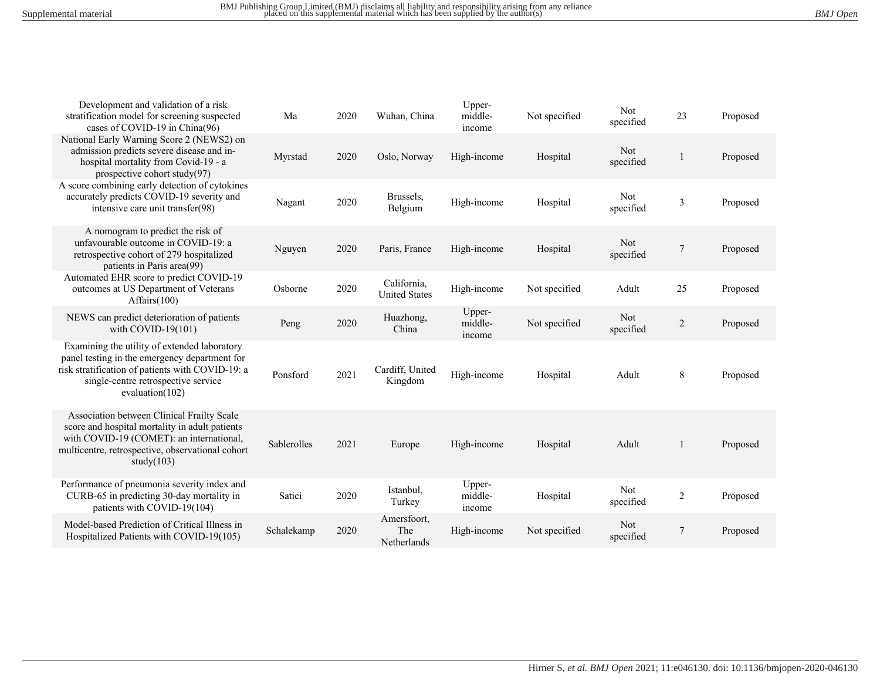| Development and validation of a risk<br>stratification model for screening suspected<br>cases of COVID-19 in China(96)                                                                                         | Ma          | 2020 | Wuhan, China                        | Upper-<br>middle-<br>income | Not specified | Not<br>specified | 23             | Proposed |
|----------------------------------------------------------------------------------------------------------------------------------------------------------------------------------------------------------------|-------------|------|-------------------------------------|-----------------------------|---------------|------------------|----------------|----------|
| National Early Warning Score 2 (NEWS2) on<br>admission predicts severe disease and in-<br>hospital mortality from Covid-19 - a<br>prospective cohort study(97)                                                 | Myrstad     | 2020 | Oslo, Norway                        | High-income                 | Hospital      | Not<br>specified | 1              | Proposed |
| A score combining early detection of cytokines<br>accurately predicts COVID-19 severity and<br>intensive care unit transfer(98)                                                                                | Nagant      | 2020 | Brussels,<br>Belgium                | High-income                 | Hospital      | Not<br>specified | 3              | Proposed |
| A nomogram to predict the risk of<br>unfavourable outcome in COVID-19: a<br>retrospective cohort of 279 hospitalized<br>patients in Paris area(99)                                                             | Nguyen      | 2020 | Paris, France                       | High-income                 | Hospital      | Not<br>specified | $\overline{7}$ | Proposed |
| Automated EHR score to predict COVID-19<br>outcomes at US Department of Veterans<br>Affairs $(100)$                                                                                                            | Osborne     | 2020 | California,<br><b>United States</b> | High-income                 | Not specified | Adult            | 25             | Proposed |
| NEWS can predict deterioration of patients<br>with COVID-19 $(101)$                                                                                                                                            | Peng        | 2020 | Huazhong,<br>China                  | Upper-<br>middle-<br>income | Not specified | Not<br>specified | $\overline{2}$ | Proposed |
| Examining the utility of extended laboratory<br>panel testing in the emergency department for<br>risk stratification of patients with COVID-19: a<br>single-centre retrospective service<br>evaluation $(102)$ | Ponsford    | 2021 | Cardiff, United<br>Kingdom          | High-income                 | Hospital      | Adult            | 8              | Proposed |
| Association between Clinical Frailty Scale<br>score and hospital mortality in adult patients<br>with COVID-19 (COMET): an international,<br>multicentre, retrospective, observational cohort<br>study $(103)$  | Sablerolles | 2021 | Europe                              | High-income                 | Hospital      | Adult            | 1              | Proposed |
| Performance of pneumonia severity index and<br>CURB-65 in predicting 30-day mortality in<br>patients with COVID-19(104)                                                                                        | Satici      | 2020 | Istanbul,<br>Turkey                 | Upper-<br>middle-<br>income | Hospital      | Not<br>specified | $\overline{2}$ | Proposed |
| Model-based Prediction of Critical Illness in<br>Hospitalized Patients with COVID-19(105)                                                                                                                      | Schalekamp  | 2020 | Amersfoort,<br>The<br>Netherlands   | High-income                 | Not specified | Not<br>specified | $\overline{7}$ | Proposed |
|                                                                                                                                                                                                                |             |      |                                     |                             |               |                  |                |          |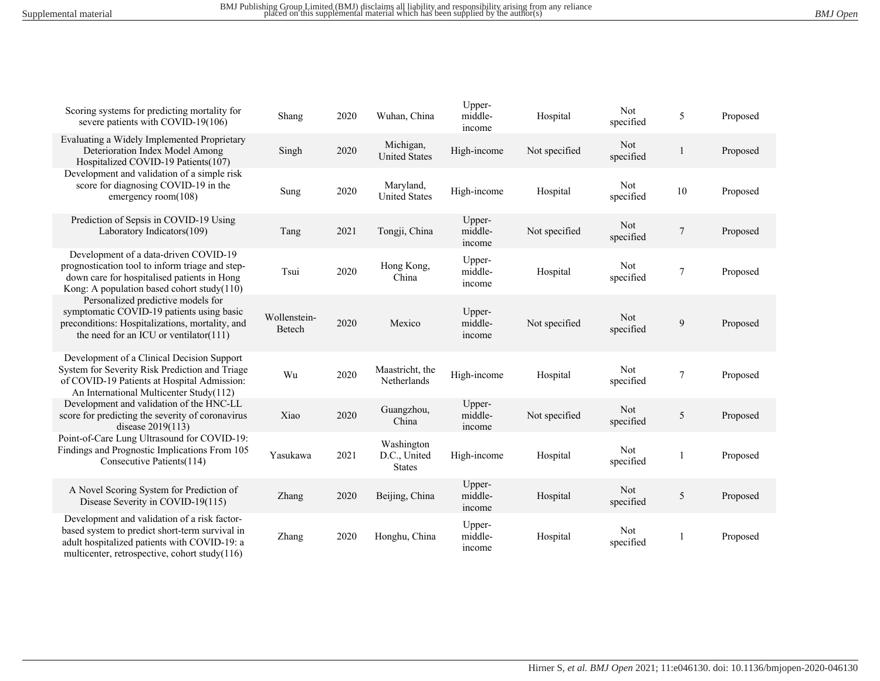| Scoring systems for predicting mortality for<br>severe patients with COVID-19(106)                                                                                                              | Shang                  | 2020 | Wuhan, China                                | Upper-<br>middle-<br>income | Hospital      | Not<br>specified | 5              | Proposed |
|-------------------------------------------------------------------------------------------------------------------------------------------------------------------------------------------------|------------------------|------|---------------------------------------------|-----------------------------|---------------|------------------|----------------|----------|
| Evaluating a Widely Implemented Proprietary<br>Deterioration Index Model Among<br>Hospitalized COVID-19 Patients(107)                                                                           | Singh                  | 2020 | Michigan,<br><b>United States</b>           | High-income                 | Not specified | Not<br>specified | 1              | Proposed |
| Development and validation of a simple risk<br>score for diagnosing COVID-19 in the<br>emergency room $(108)$                                                                                   | Sung                   | 2020 | Maryland,<br><b>United States</b>           | High-income                 | Hospital      | Not<br>specified | 10             | Proposed |
| Prediction of Sepsis in COVID-19 Using<br>Laboratory Indicators(109)                                                                                                                            | Tang                   | 2021 | Tongji, China                               | Upper-<br>middle-<br>income | Not specified | Not<br>specified | $\overline{7}$ | Proposed |
| Development of a data-driven COVID-19<br>prognostication tool to inform triage and step-<br>down care for hospitalised patients in Hong<br>Kong: A population based cohort study $(110)$        | Tsui                   | 2020 | Hong Kong,<br>China                         | Upper-<br>middle-<br>income | Hospital      | Not<br>specified | 7              | Proposed |
| Personalized predictive models for<br>symptomatic COVID-19 patients using basic<br>preconditions: Hospitalizations, mortality, and<br>the need for an ICU or ventilator( $111$ )                | Wollenstein-<br>Betech | 2020 | Mexico                                      | Upper-<br>middle-<br>income | Not specified | Not<br>specified | 9              | Proposed |
| Development of a Clinical Decision Support<br>System for Severity Risk Prediction and Triage<br>of COVID-19 Patients at Hospital Admission:<br>An International Multicenter Study(112)          | Wu                     | 2020 | Maastricht, the<br>Netherlands              | High-income                 | Hospital      | Not<br>specified | $\overline{7}$ | Proposed |
| Development and validation of the HNC-LL<br>score for predicting the severity of coronavirus<br>disease $2019(113)$                                                                             | Xiao                   | 2020 | Guangzhou,<br>China                         | Upper-<br>middle-<br>income | Not specified | Not<br>specified | 5              | Proposed |
| Point-of-Care Lung Ultrasound for COVID-19:<br>Findings and Prognostic Implications From 105<br>Consecutive Patients(114)                                                                       | Yasukawa               | 2021 | Washington<br>D.C., United<br><b>States</b> | High-income                 | Hospital      | Not<br>specified | 1              | Proposed |
| A Novel Scoring System for Prediction of<br>Disease Severity in COVID-19(115)                                                                                                                   | Zhang                  | 2020 | Beijing, China                              | Upper-<br>middle-<br>income | Hospital      | Not<br>specified | 5              | Proposed |
| Development and validation of a risk factor-<br>based system to predict short-term survival in<br>adult hospitalized patients with COVID-19: a<br>multicenter, retrospective, cohort study(116) | Zhang                  | 2020 | Honghu, China                               | Upper-<br>middle-<br>income | Hospital      | Not<br>specified | 1              | Proposed |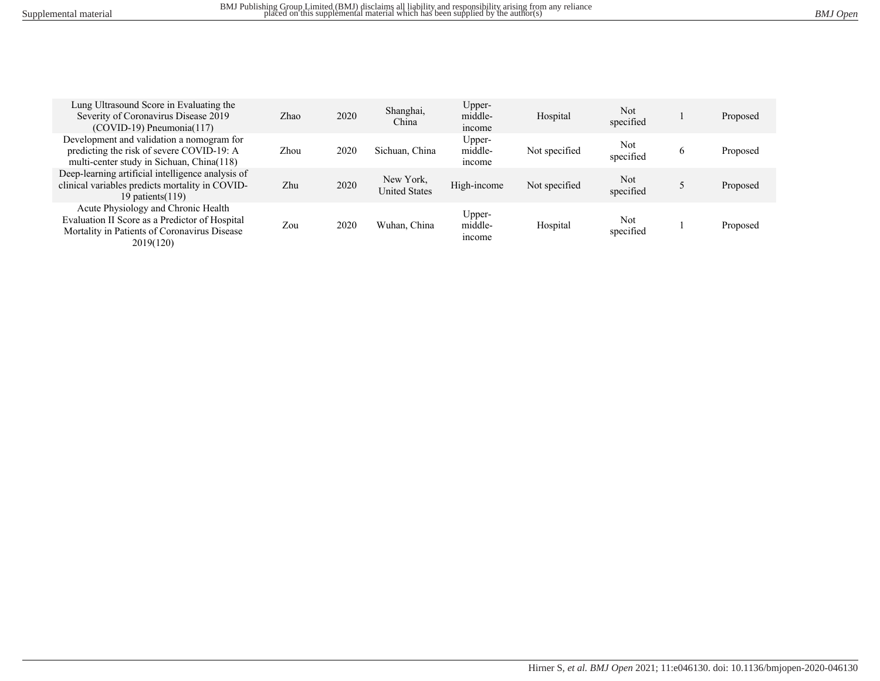| Lung Ultrasound Score in Evaluating the<br>Severity of Coronavirus Disease 2019<br>$(COVID-19)$ Pneumonia $(117)$                                  | Zhao | 2020 | Shanghai,<br>China                | Upper-<br>middle-<br>income | Hospital      | <b>Not</b><br>specified |               | Proposed |
|----------------------------------------------------------------------------------------------------------------------------------------------------|------|------|-----------------------------------|-----------------------------|---------------|-------------------------|---------------|----------|
| Development and validation a nomogram for<br>predicting the risk of severe COVID-19: A<br>multi-center study in Sichuan, China(118)                | Zhou | 2020 | Sichuan, China                    | Upper-<br>middle-<br>income | Not specified | Not<br>specified        | $\mathfrak b$ | Proposed |
| Deep-learning artificial intelligence analysis of<br>clinical variables predicts mortality in COVID-<br>19 patients $(119)$                        | Zhu  | 2020 | New York,<br><b>United States</b> | High-income                 | Not specified | Not<br>specified        |               | Proposed |
| Acute Physiology and Chronic Health<br>Evaluation II Score as a Predictor of Hospital<br>Mortality in Patients of Coronavirus Disease<br>2019(120) | Zou  | 2020 | Wuhan, China                      | Upper-<br>middle-<br>income | Hospital      | Not<br>specified        |               | Proposed |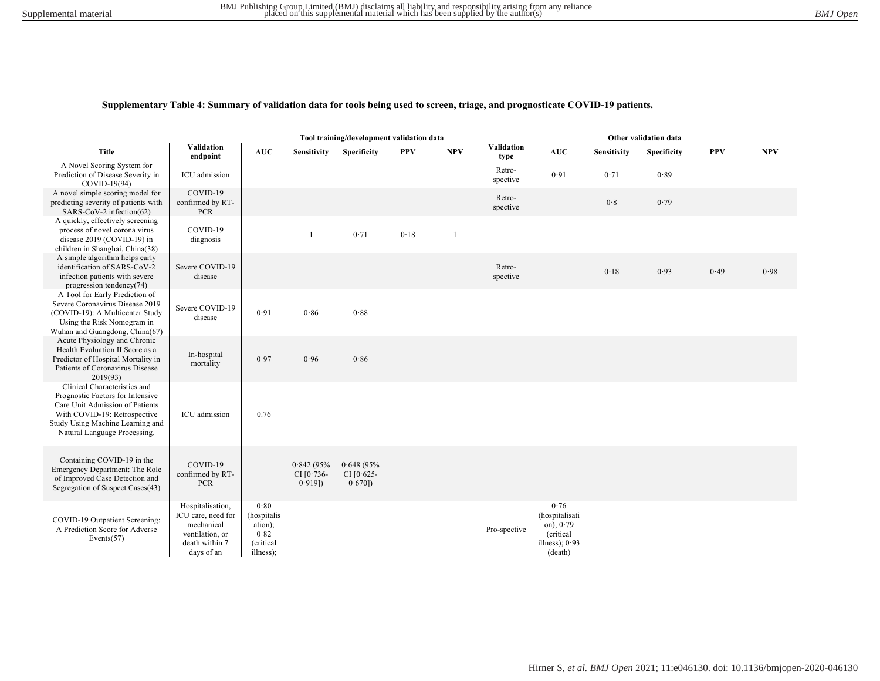#### **Supplementary Table 4: Summary of validation data for tools being used to screen, triage, and prognosticate COVID-19 patients.**

| Tool training/development validation data                                                                                                                                                               |                                                                                                         |                                                                  |                                         |                                     |            |              | Other validation data     |                                                                                   |                    |             |            |            |
|---------------------------------------------------------------------------------------------------------------------------------------------------------------------------------------------------------|---------------------------------------------------------------------------------------------------------|------------------------------------------------------------------|-----------------------------------------|-------------------------------------|------------|--------------|---------------------------|-----------------------------------------------------------------------------------|--------------------|-------------|------------|------------|
| Title                                                                                                                                                                                                   | Validation<br>endpoint                                                                                  | <b>AUC</b>                                                       | Sensitivity                             | Specificity                         | <b>PPV</b> | <b>NPV</b>   | <b>Validation</b><br>type | $\mathbf{AUC}$                                                                    | <b>Sensitivity</b> | Specificity | <b>PPV</b> | <b>NPV</b> |
| A Novel Scoring System for<br>Prediction of Disease Severity in<br>COVID-19(94)                                                                                                                         | ICU admission                                                                                           |                                                                  |                                         |                                     |            |              | Retro-<br>spective        | 0.91                                                                              | 0.71               | 0.89        |            |            |
| A novel simple scoring model for<br>predicting severity of patients with<br>SARS-CoV-2 infection(62)                                                                                                    | COVID-19<br>confirmed by RT-<br>PCR                                                                     |                                                                  |                                         |                                     |            |              | Retro-<br>spective        |                                                                                   | 0.8                | 0.79        |            |            |
| A quickly, effectively screening<br>process of novel corona virus<br>disease 2019 (COVID-19) in<br>children in Shanghai, China(38)                                                                      | COVID-19<br>diagnosis                                                                                   |                                                                  |                                         | 0.71                                | 0.18       | $\mathbf{1}$ |                           |                                                                                   |                    |             |            |            |
| A simple algorithm helps early<br>identification of SARS-CoV-2<br>infection patients with severe<br>progression tendency(74)                                                                            | Severe COVID-19<br>disease                                                                              |                                                                  |                                         |                                     |            |              | Retro-<br>spective        |                                                                                   | 0.18               | 0.93        | 0.49       | 0.98       |
| A Tool for Early Prediction of<br>Severe Coronavirus Disease 2019<br>(COVID-19): A Multicenter Study<br>Using the Risk Nomogram in<br>Wuhan and Guangdong, China(67)                                    | Severe COVID-19<br>disease                                                                              | 0.91                                                             | 0.86                                    | 0.88                                |            |              |                           |                                                                                   |                    |             |            |            |
| Acute Physiology and Chronic<br>Health Evaluation II Score as a<br>Predictor of Hospital Mortality in<br>Patients of Coronavirus Disease<br>2019(93)                                                    | In-hospital<br>mortality                                                                                | 0.97                                                             | 0.96                                    | 0.86                                |            |              |                           |                                                                                   |                    |             |            |            |
| Clinical Characteristics and<br>Prognostic Factors for Intensive<br>Care Unit Admission of Patients<br>With COVID-19: Retrospective<br>Study Using Machine Learning and<br>Natural Language Processing. | ICU admission                                                                                           | 0.76                                                             |                                         |                                     |            |              |                           |                                                                                   |                    |             |            |            |
| Containing COVID-19 in the<br>Emergency Department: The Role<br>of Improved Case Detection and<br>Segregation of Suspect Cases(43)                                                                      | COVID-19<br>confirmed by RT-<br><b>PCR</b>                                                              |                                                                  | 0.842(95%<br>CI $[0.736-$<br>$0.919$ ]) | 0.648(95%<br>CI $[0.625-$<br>0.670] |            |              |                           |                                                                                   |                    |             |            |            |
| COVID-19 Outpatient Screening:<br>A Prediction Score for Adverse<br>Events $(57)$                                                                                                                       | Hospitalisation,<br>ICU care, need for<br>mechanical<br>ventilation, or<br>death within 7<br>days of an | 0.80<br>(hospitalis<br>ation);<br>0.82<br>(critical<br>illness); |                                         |                                     |            |              | Pro-spective              | 0.76<br>(hospitalisati<br>on); $0.79$<br>(critical<br>illness); $0.93$<br>(death) |                    |             |            |            |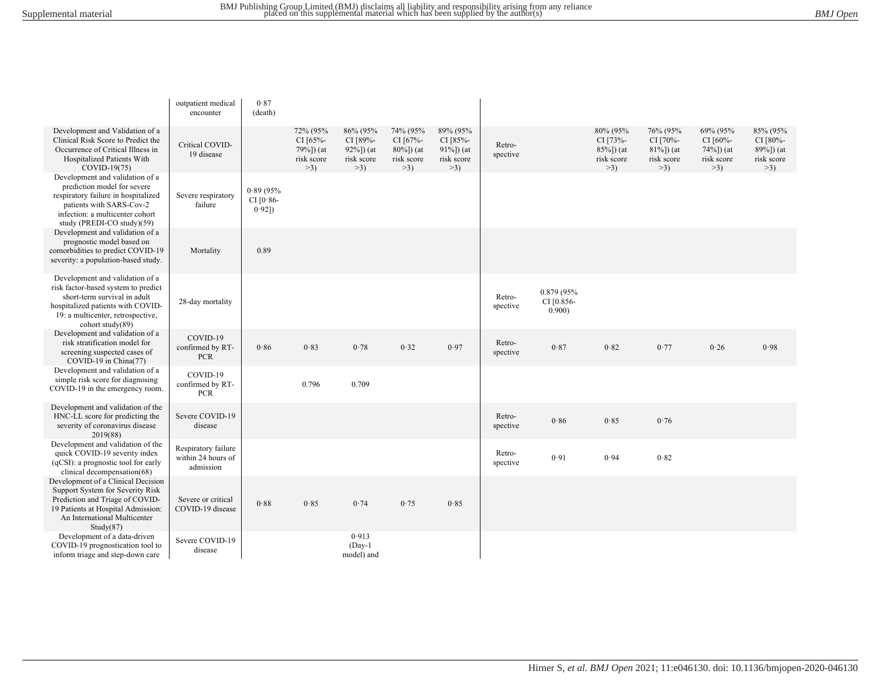|                                                                                                                                                                                                      | outpatient medical<br>encounter                        | 0.87<br>(death)                  |                                                              |                                                            |                                                               |                                                                   |                    |                                     |                                                               |                                                            |                                                           |                                                        |
|------------------------------------------------------------------------------------------------------------------------------------------------------------------------------------------------------|--------------------------------------------------------|----------------------------------|--------------------------------------------------------------|------------------------------------------------------------|---------------------------------------------------------------|-------------------------------------------------------------------|--------------------|-------------------------------------|---------------------------------------------------------------|------------------------------------------------------------|-----------------------------------------------------------|--------------------------------------------------------|
| Development and Validation of a<br>Clinical Risk Score to Predict the<br>Occurrence of Critical Illness in<br>Hospitalized Patients With<br>COVID-19(75)                                             | Critical COVID-<br>19 disease                          |                                  | 72% (95%<br>CI $[65% -$<br>79%]) (at<br>risk score<br>$>3$ ) | 86% (95%<br>CI [89%-<br>$92\%$ ]) (at<br>risk score<br>>3) | 74% (95%<br>CI [67%-<br>$80\%$ ]) (at<br>risk score<br>$>3$ ) | 89% (95%<br>CI $[85% -]$<br>$91\%$ ]) (at<br>risk score<br>$>3$ ) | Retro-<br>spective |                                     | 80% (95%<br>CI [73%-<br>$85\%$ ]) (at<br>risk score<br>$>3$ ) | 76% (95%<br>CI [70%-<br>$81\%$ ]) (at<br>risk score<br>>3) | 69% (95%<br>CI [60%-<br>74%]) (at<br>risk score<br>$>3$ ) | 85% (95%<br>CI [80%-<br>89%]) (at<br>risk score<br>>3) |
| Development and validation of a<br>prediction model for severe<br>respiratory failure in hospitalized<br>patients with SARS-Cov-2<br>infection: a multicenter cohort<br>study (PREDI-CO study)(59)   | Severe respiratory<br>failure                          | 0.89(95%<br>CI $[0.86-$<br>0.92] |                                                              |                                                            |                                                               |                                                                   |                    |                                     |                                                               |                                                            |                                                           |                                                        |
| Development and validation of a<br>prognostic model based on<br>comorbidities to predict COVID-19<br>severity: a population-based study.                                                             | Mortality                                              | 0.89                             |                                                              |                                                            |                                                               |                                                                   |                    |                                     |                                                               |                                                            |                                                           |                                                        |
| Development and validation of a<br>risk factor-based system to predict<br>short-term survival in adult<br>hospitalized patients with COVID-<br>19: a multicenter, retrospective,<br>cohort study(89) | 28-day mortality                                       |                                  |                                                              |                                                            |                                                               |                                                                   | Retro-<br>spective | 0.879 (95%)<br>CI [0.856-<br>0.900) |                                                               |                                                            |                                                           |                                                        |
| Development and validation of a<br>risk stratification model for<br>screening suspected cases of<br>COVID-19 in China(77)                                                                            | COVID-19<br>confirmed by RT-<br><b>PCR</b>             | 0.86                             | 0.83                                                         | 0.78                                                       | 0.32                                                          | 0.97                                                              | Retro-<br>spective | 0.87                                | 0.82                                                          | 0.77                                                       | 0.26                                                      | 0.98                                                   |
| Development and validation of a<br>simple risk score for diagnosing<br>COVID-19 in the emergency room.                                                                                               | COVID-19<br>confirmed by RT-<br><b>PCR</b>             |                                  | 0.796                                                        | 0.709                                                      |                                                               |                                                                   |                    |                                     |                                                               |                                                            |                                                           |                                                        |
| Development and validation of the<br>HNC-LL score for predicting the<br>severity of coronavirus disease<br>2019(88)                                                                                  | Severe COVID-19<br>disease                             |                                  |                                                              |                                                            |                                                               |                                                                   | Retro-<br>spective | 0.86                                | 0.85                                                          | 0.76                                                       |                                                           |                                                        |
| Development and validation of the<br>quick COVID-19 severity index<br>(qCSI): a prognostic tool for early<br>clinical decompensation(68)                                                             | Respiratory failure<br>within 24 hours of<br>admission |                                  |                                                              |                                                            |                                                               |                                                                   | Retro-<br>spective | 0.91                                | 0.94                                                          | 0.82                                                       |                                                           |                                                        |
| Development of a Clinical Decision<br>Support System for Severity Risk<br>Prediction and Triage of COVID-<br>19 Patients at Hospital Admission:<br>An International Multicenter<br>Study(87)         | Severe or critical<br>COVID-19 disease                 | 0.88                             | 0.85                                                         | 0.74                                                       | 0.75                                                          | 0.85                                                              |                    |                                     |                                                               |                                                            |                                                           |                                                        |
| Development of a data-driven<br>COVID-19 prognostication tool to<br>inform triage and step-down care                                                                                                 | Severe COVID-19<br>disease                             |                                  |                                                              | 0.913<br>$(Day-1)$<br>model) and                           |                                                               |                                                                   |                    |                                     |                                                               |                                                            |                                                           |                                                        |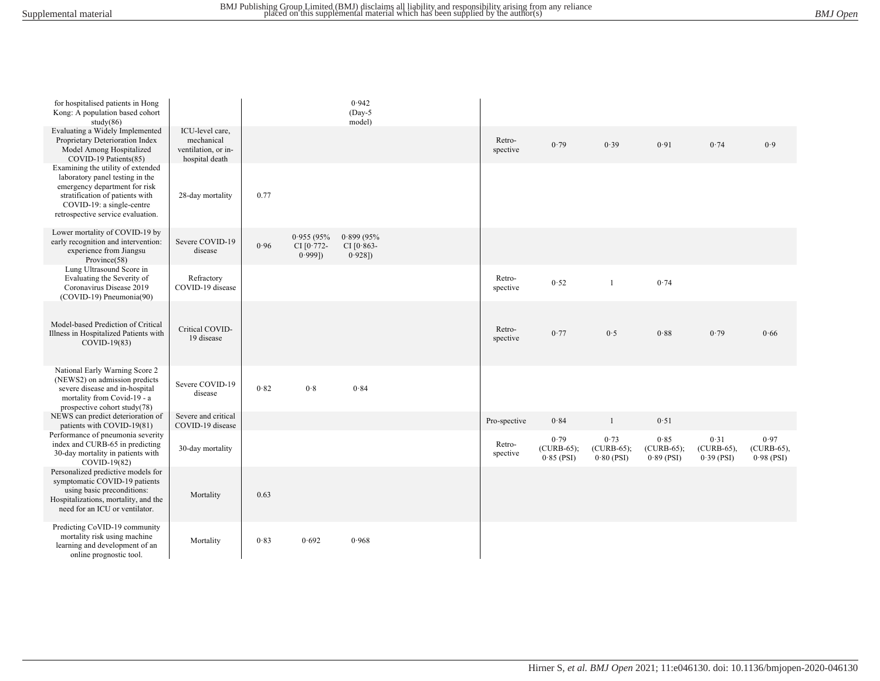| for hospitalised patients in Hong<br>Kong: A population based cohort<br>study(86)                                                                                                                          |                                                                        |      |                                         | 0.942<br>$(Day-5)$<br>model)            |                    |                                      |                                      |                                      |                                       |                                    |
|------------------------------------------------------------------------------------------------------------------------------------------------------------------------------------------------------------|------------------------------------------------------------------------|------|-----------------------------------------|-----------------------------------------|--------------------|--------------------------------------|--------------------------------------|--------------------------------------|---------------------------------------|------------------------------------|
| Evaluating a Widely Implemented<br>Proprietary Deterioration Index<br>Model Among Hospitalized<br>COVID-19 Patients(85)                                                                                    | ICU-level care,<br>mechanical<br>ventilation, or in-<br>hospital death |      |                                         |                                         | Retro-<br>spective | 0.79                                 | 0.39                                 | 0.91                                 | 0.74                                  | 0.9                                |
| Examining the utility of extended<br>laboratory panel testing in the<br>emergency department for risk<br>stratification of patients with<br>COVID-19: a single-centre<br>retrospective service evaluation. | 28-day mortality                                                       | 0.77 |                                         |                                         |                    |                                      |                                      |                                      |                                       |                                    |
| Lower mortality of COVID-19 by<br>early recognition and intervention:<br>experience from Jiangsu<br>Province(58)                                                                                           | Severe COVID-19<br>disease                                             | 0.96 | 0.955(95%<br>CI $[0.772-$<br>$0.999$ ]) | 0.899(95%<br>CI $[0.863-$<br>$0.928$ ]) |                    |                                      |                                      |                                      |                                       |                                    |
| Lung Ultrasound Score in<br>Evaluating the Severity of<br>Coronavirus Disease 2019<br>(COVID-19) Pneumonia(90)                                                                                             | Refractory<br>COVID-19 disease                                         |      |                                         |                                         | Retro-<br>spective | 0.52                                 | $\mathbf{1}$                         | 0.74                                 |                                       |                                    |
| Model-based Prediction of Critical<br>Illness in Hospitalized Patients with<br>COVID-19(83)                                                                                                                | Critical COVID-<br>19 disease                                          |      |                                         |                                         | Retro-<br>spective | 0.77                                 | 0.5                                  | 0.88                                 | 0.79                                  | 0.66                               |
| National Early Warning Score 2<br>(NEWS2) on admission predicts<br>severe disease and in-hospital<br>mortality from Covid-19 - a<br>prospective cohort study(78)                                           | Severe COVID-19<br>disease                                             | 0.82 | 0.8                                     | 0.84                                    |                    |                                      |                                      |                                      |                                       |                                    |
| NEWS can predict deterioration of<br>patients with COVID-19(81)                                                                                                                                            | Severe and critical<br>COVID-19 disease                                |      |                                         |                                         | Pro-spective       | 0.84                                 | $\mathbf{1}$                         | 0.51                                 |                                       |                                    |
| Performance of pneumonia severity<br>index and CURB-65 in predicting<br>30-day mortality in patients with<br>COVID-19(82)                                                                                  | 30-day mortality                                                       |      |                                         |                                         | Retro-<br>spective | 0.79<br>$(CURB-65);$<br>$0.85$ (PSI) | 0.73<br>$(CURB-65);$<br>$0.80$ (PSI) | 0.85<br>$(CURB-65);$<br>$0.89$ (PSI) | 0.31<br>$(CURB-65)$ .<br>$0.39$ (PSI) | 0.97<br>(CURB-65),<br>$0.98$ (PSI) |
| Personalized predictive models for<br>symptomatic COVID-19 patients<br>using basic preconditions:<br>Hospitalizations, mortality, and the<br>need for an ICU or ventilator.                                | Mortality                                                              | 0.63 |                                         |                                         |                    |                                      |                                      |                                      |                                       |                                    |
| Predicting CoVID-19 community<br>mortality risk using machine<br>learning and development of an<br>online prognostic tool.                                                                                 | Mortality                                                              | 0.83 | 0.692                                   | 0.968                                   |                    |                                      |                                      |                                      |                                       |                                    |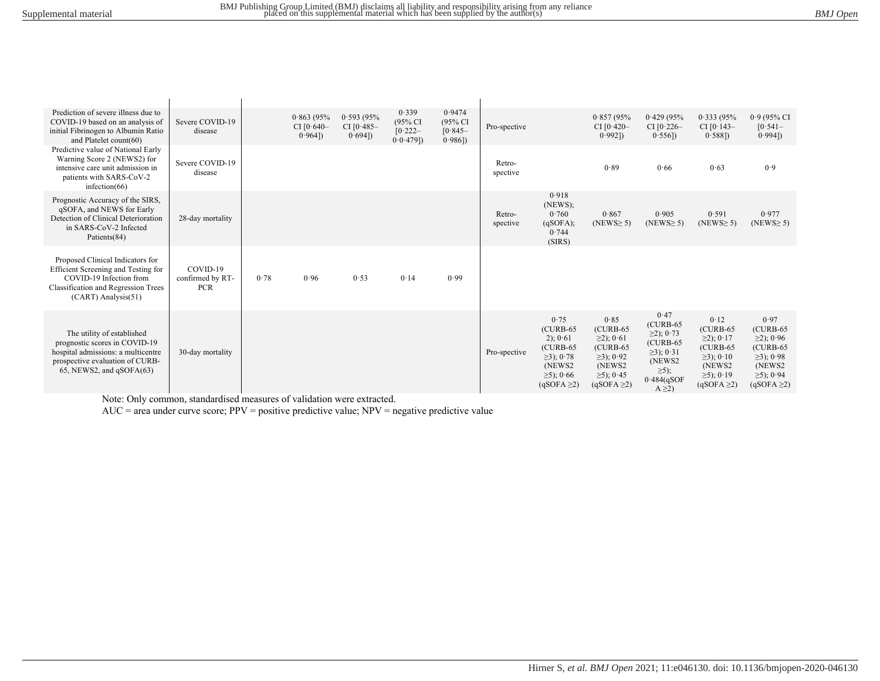| Prediction of severe illness due to<br>COVID-19 based on an analysis of<br>initial Fibrinogen to Albumin Ratio<br>and Platelet count(60)                                  | Severe COVID-19<br>disease                 |      | 0.863(95%<br>CI $[0.640-$<br>$0.964$ ]) | 0.593(95%<br>CI $[0.485 -$<br>0.694] | 0.339<br>(95% CI<br>[0.222]<br>$0.0.479$ ]) | 0.9474<br>$(95\% \text{ CI})$<br>$[0.845 -$<br>$0.986$ ]) | Pro-spective       |                                                                                                                    | 0.857(95%<br>CI $[0.420 -$<br>0.9921                                                                                   | 0.429(95%<br>CI $[0.226 -$<br>$0.556$ ])                                                                                      | 0.333(95%<br>CI $[0.143-$<br>0.5881                                                                                        | $0.9(95\% \text{ CI})$<br>$\left[0.541\right]$<br>0.9941                                                                |
|---------------------------------------------------------------------------------------------------------------------------------------------------------------------------|--------------------------------------------|------|-----------------------------------------|--------------------------------------|---------------------------------------------|-----------------------------------------------------------|--------------------|--------------------------------------------------------------------------------------------------------------------|------------------------------------------------------------------------------------------------------------------------|-------------------------------------------------------------------------------------------------------------------------------|----------------------------------------------------------------------------------------------------------------------------|-------------------------------------------------------------------------------------------------------------------------|
| Predictive value of National Early<br>Warning Score 2 (NEWS2) for<br>intensive care unit admission in<br>patients with SARS-CoV-2<br>infection $(66)$                     | Severe COVID-19<br>disease                 |      |                                         |                                      |                                             |                                                           | Retro-<br>spective |                                                                                                                    | 0.89                                                                                                                   | 0.66                                                                                                                          | 0.63                                                                                                                       | 0.9                                                                                                                     |
| Prognostic Accuracy of the SIRS,<br>qSOFA, and NEWS for Early<br>Detection of Clinical Deterioration<br>in SARS-CoV-2 Infected<br>Patients(84)                            | 28-day mortality                           |      |                                         |                                      |                                             |                                                           | Retro-<br>spective | 0.918<br>(NEWS);<br>0.760<br>(qSOPA);<br>0.744<br>(SIRS)                                                           | 0.867<br>$(NEWS \ge 5)$                                                                                                | 0.905<br>$(NEWS \ge 5)$                                                                                                       | 0.591<br>$(NEWS \ge 5)$                                                                                                    | 0.977<br>$(NEWS \ge 5)$                                                                                                 |
| Proposed Clinical Indicators for<br>Efficient Screening and Testing for<br>COVID-19 Infection from<br><b>Classification and Regression Trees</b><br>$(CART)$ Analysis(51) | COVID-19<br>confirmed by RT-<br><b>PCR</b> | 0.78 | 0.96                                    | 0.53                                 | 0.14                                        | 0.99                                                      |                    |                                                                                                                    |                                                                                                                        |                                                                                                                               |                                                                                                                            |                                                                                                                         |
| The utility of established<br>prognostic scores in COVID-19<br>hospital admissions: a multicentre<br>prospective evaluation of CURB-<br>$65$ , NEWS2, and $qSOFA(63)$     | 30-day mortality                           |      |                                         |                                      |                                             |                                                           | Pro-spective       | 0.75<br>$(CURB-65)$<br>$2)$ ; 0.61<br>$(CURB-65)$<br>$\geq$ 3); 0.78<br>(NEWS2)<br>$≥5$ : 0.66<br>$(qSOPA \geq 2)$ | 0.85<br>$(CURB-65)$<br>$\geq$ 2); 0.61<br>$(CURB-65)$<br>$\geq$ 3); 0.92<br>(NEWS2)<br>$≥5$ ; 0⋅45<br>$(qSOPA \geq 2)$ | 0.47<br>$(CURB-65)$<br>$\geq$ 2); 0.73<br>$(CURB-65)$<br>$≥3$ ); 0⋅31<br>(NEWS2)<br>$\geq 5$ ;<br>$0.484$ (qSOF<br>$A \geq 2$ | 0.12<br>$(CURB-65)$<br>$\geq$ 2); 0.17<br>$(CURB-65)$<br>$\geq$ 3); 0.10<br>(NEWS2)<br>$\geq 5$ ; 0.19<br>$(qSOPA \geq 2)$ | 0.97<br>$(CURB-65)$<br>$\geq$ 2); 0.96<br>$(CURB-65)$<br>$\geq$ 3); 0.98<br>(NEWS2)<br>$≥5$ ); 0.94<br>$(qSOPA \geq 2)$ |

Note: Only common, standardised measures of validation were extracted.

AUC = area under curve score; PPV = positive predictive value; NPV = negative predictive value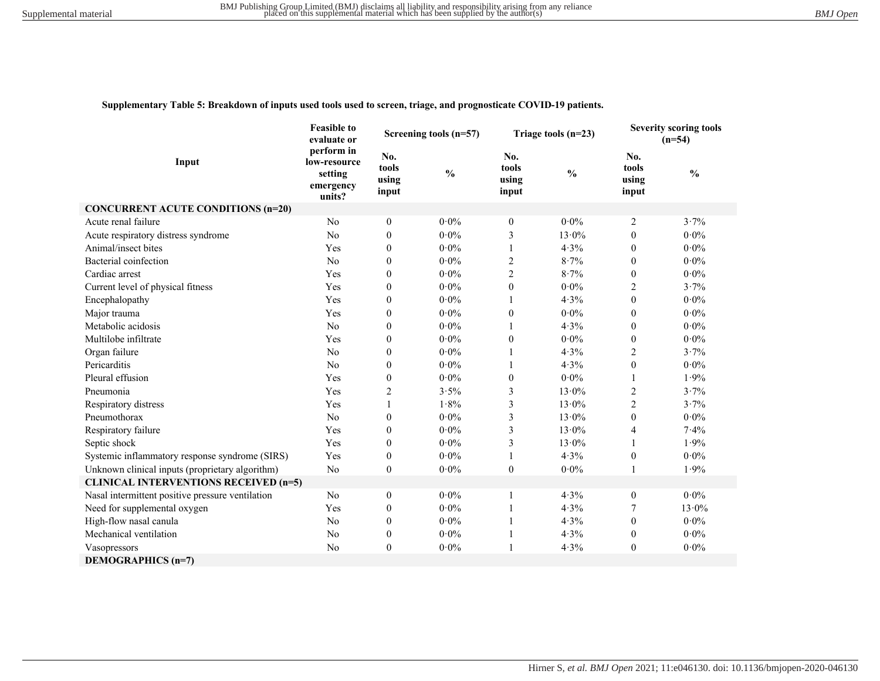#### **Supplementary Table 5: Breakdown of inputs used tools used to screen, triage, and prognosticate COVID-19 patients.**

|                                                  | <b>Feasible to</b><br>evaluate or                            |                                | Screening tools (n=57) |                                | Triage tools $(n=23)$ | <b>Severity scoring tools</b><br>$(n=54)$ |                 |
|--------------------------------------------------|--------------------------------------------------------------|--------------------------------|------------------------|--------------------------------|-----------------------|-------------------------------------------|-----------------|
| Input                                            | perform in<br>low-resource<br>setting<br>emergency<br>units? | No.<br>tools<br>using<br>input | $\frac{0}{0}$          | No.<br>tools<br>using<br>input | $\frac{0}{0}$         | No.<br>tools<br>using<br>input            | $\frac{0}{0}$   |
| <b>CONCURRENT ACUTE CONDITIONS (n=20)</b>        |                                                              |                                |                        |                                |                       |                                           |                 |
| Acute renal failure                              | No                                                           | $\boldsymbol{0}$               | $0.0\%$                | $\mathbf{0}$                   | $0.0\%$               | $\overline{2}$                            | $3.7\%$         |
| Acute respiratory distress syndrome              | No                                                           | $\theta$                       | $0.0\%$                | 3                              | $13.0\%$              | $\theta$                                  | $0.0\%$         |
| Animal/insect bites                              | Yes                                                          | $\theta$                       | $0.0\%$                | $\mathbf{1}$                   | 4.3%                  | $\theta$                                  | $0.0\%$         |
| Bacterial coinfection                            | N <sub>o</sub>                                               | $\theta$                       | $0.0\%$                | $\overline{2}$                 | 8.7%                  | $\mathbf{0}$                              | $0.0\%$         |
| Cardiac arrest                                   | Yes                                                          | $\theta$                       | $0.0\%$                | $\overline{2}$                 | 8.7%                  | $\theta$                                  | $0.0\%$         |
| Current level of physical fitness                | Yes                                                          | $\overline{0}$                 | $0.0\%$                | $\mathbf{0}$                   | $0.0\%$               | $\overline{c}$                            | 3.7%            |
| Encephalopathy                                   | Yes                                                          | $\theta$                       | $0.0\%$                | 1                              | 4.3%                  | $\mathbf{0}$                              | $0.0\%$         |
| Major trauma                                     | Yes                                                          | $\theta$                       | $0.0\%$                | $\mathbf{0}$                   | $0.0\%$               | $\mathbf{0}$                              | $0.0\%$         |
| Metabolic acidosis                               | N <sub>o</sub>                                               | $\theta$                       | $0.0\%$                |                                | 4.3%                  | $\mathbf{0}$                              | $0.0\%$         |
| Multilobe infiltrate                             | Yes                                                          | $\theta$                       | $0.0\%$                | $\theta$                       | $0.0\%$               | $\mathbf{0}$                              | $0.0\%$         |
| Organ failure                                    | N <sub>o</sub>                                               | $\overline{0}$                 | $0.0\%$                |                                | 4.3%                  | $\overline{2}$                            | 3.7%            |
| Pericarditis                                     | N <sub>o</sub>                                               | $\theta$                       | $0.0\%$                |                                | 4.3%                  | $\mathbf{0}$                              | $0.0\%$         |
| Pleural effusion                                 | Yes                                                          | $\theta$                       | $0.0\%$                | $\theta$                       | $0.0\%$               | 1                                         | 1.9%            |
| Pneumonia                                        | Yes                                                          | 2                              | $3.5\%$                | 3                              | $13.0\%$              | 2                                         | 3.7%            |
| Respiratory distress                             | Yes                                                          |                                | 1.8%                   | 3                              | $13.0\%$              | $\overline{2}$                            | 3.7%            |
| Pneumothorax                                     | N <sub>o</sub>                                               | $\mathbf{0}$                   | $0.0\%$                | 3                              | $13.0\%$              | $\mathbf{0}$                              | $0.0\%$         |
| Respiratory failure                              | Yes                                                          | $\theta$                       | $0\!\cdot\!0\%$        | 3                              | $13.0\%$              | 4                                         | 7.4%            |
| Septic shock                                     | Yes                                                          | $\theta$                       | $0.0\%$                | 3                              | $13.0\%$              | 1                                         | 1.9%            |
| Systemic inflammatory response syndrome (SIRS)   | Yes                                                          | $\boldsymbol{0}$               | $0.0\%$                |                                | 4.3%                  | $\boldsymbol{0}$                          | $0.0\%$         |
| Unknown clinical inputs (proprietary algorithm)  | No                                                           | $\mathbf{0}$                   | $0.0\%$                | $\mathbf{0}$                   | $0.0\%$               | 1                                         | 1.9%            |
| <b>CLINICAL INTERVENTIONS RECEIVED (n=5)</b>     |                                                              |                                |                        |                                |                       |                                           |                 |
| Nasal intermittent positive pressure ventilation | N <sub>o</sub>                                               | $\boldsymbol{0}$               | $0.0\%$                | -1                             | 4.3%                  | $\boldsymbol{0}$                          | $0.0\%$         |
| Need for supplemental oxygen                     | Yes                                                          | $\boldsymbol{0}$               | $0.0\%$                | -1                             | 4.3%                  | 7                                         | $13.0\%$        |
| High-flow nasal canula                           | N <sub>o</sub>                                               | $\mathbf{0}$                   | $0.0\%$                | 1                              | 4.3%                  | $\mathbf{0}$                              | $0\!\cdot\!0\%$ |
| Mechanical ventilation                           | No                                                           | $\boldsymbol{0}$               | $0.0\%$                | 1                              | 4.3%                  | $\boldsymbol{0}$                          | $0.0\%$         |
| Vasopressors                                     | No                                                           | $\boldsymbol{0}$               | $0.0\%$                | $\overline{1}$                 | 4.3%                  | $\boldsymbol{0}$                          | $0.0\%$         |
| <b>DEMOGRAPHICS (n=7)</b>                        |                                                              |                                |                        |                                |                       |                                           |                 |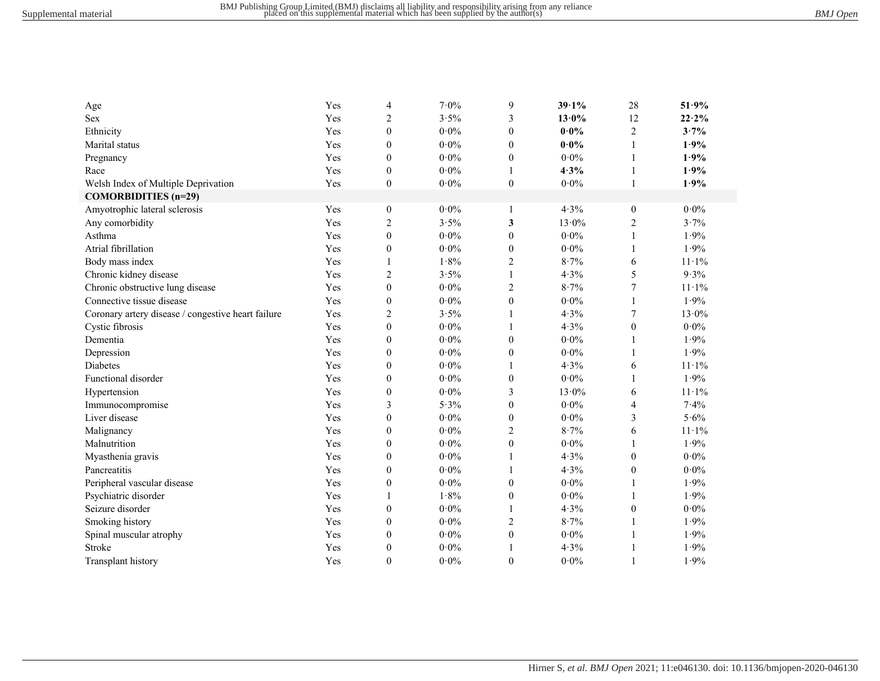| Age                                                | Yes | 4                | $7.0\%$         | 9                | 39.1%    | 28               | 51.9%           |
|----------------------------------------------------|-----|------------------|-----------------|------------------|----------|------------------|-----------------|
| <b>Sex</b>                                         | Yes | $\overline{c}$   | 3.5%            | 3                | $13.0\%$ | 12               | 22.2%           |
| Ethnicity                                          | Yes | $\mathbf{0}$     | $0.0\%$         | $\theta$         | $0.0\%$  | $\overline{c}$   | 3.7%            |
| Marital status                                     | Yes | $\boldsymbol{0}$ | $0.0\%$         | $\theta$         | $0.0\%$  | 1                | 1.9%            |
| Pregnancy                                          | Yes | $\mathbf{0}$     | $0.0\%$         | $\boldsymbol{0}$ | $0.0\%$  | 1                | 1.9%            |
| Race                                               | Yes | $\mathbf{0}$     | $0.0\%$         |                  | 4.3%     | 1                | 1.9%            |
| Welsh Index of Multiple Deprivation                | Yes | $\boldsymbol{0}$ | $0\!\cdot\!0\%$ | $\boldsymbol{0}$ | $0.0\%$  | 1                | 1.9%            |
| <b>COMORBIDITIES</b> (n=29)                        |     |                  |                 |                  |          |                  |                 |
| Amyotrophic lateral sclerosis                      | Yes | $\boldsymbol{0}$ | $0.0\%$         | 1                | 4.3%     | $\boldsymbol{0}$ | $0.0\%$         |
| Any comorbidity                                    | Yes | $\mathbf{2}$     | 3.5%            | 3                | $13.0\%$ | $\sqrt{2}$       | 3.7%            |
| Asthma                                             | Yes | $\boldsymbol{0}$ | $0\!\cdot\!0\%$ | $\boldsymbol{0}$ | $0.0\%$  | $\mathbf{1}$     | 1.9%            |
| Atrial fibrillation                                | Yes | $\mathbf{0}$     | $0.0\%$         | $\boldsymbol{0}$ | $0.0\%$  | $\mathbf{1}$     | 1.9%            |
| Body mass index                                    | Yes |                  | 1.8%            | 2                | 8.7%     | 6                | $11 \cdot 1\%$  |
| Chronic kidney disease                             | Yes | 2                | 3.5%            | 1                | 4.3%     | 5                | 9.3%            |
| Chronic obstructive lung disease                   | Yes | $\overline{0}$   | $0.0\%$         | $\overline{c}$   | 8.7%     | $\tau$           | $11 \cdot 1\%$  |
| Connective tissue disease                          | Yes | $\boldsymbol{0}$ | $0.0\%$         | $\boldsymbol{0}$ | $0.0\%$  | 1                | 1.9%            |
| Coronary artery disease / congestive heart failure | Yes | 2                | 3.5%            | 1                | 4.3%     | 7                | $13.0\%$        |
| Cystic fibrosis                                    | Yes | $\theta$         | $0.0\%$         | 1                | 4.3%     | $\mathbf{0}$     | $0.0\%$         |
| Dementia                                           | Yes | $\mathbf{0}$     | $0.0\%$         | $\boldsymbol{0}$ | $0.0\%$  | 1                | 1.9%            |
| Depression                                         | Yes | $\mathbf{0}$     | $0\!\cdot\!0\%$ | $\boldsymbol{0}$ | $0.0\%$  | 1                | 1.9%            |
| <b>Diabetes</b>                                    | Yes | $\mathbf{0}$     | $0.0\%$         | 1                | 4.3%     | 6                | $11 \cdot 1\%$  |
| Functional disorder                                | Yes | $\boldsymbol{0}$ | $0\!\cdot\!0\%$ | $\boldsymbol{0}$ | $0.0\%$  | 1                | 1.9%            |
| Hypertension                                       | Yes | $\boldsymbol{0}$ | $0\!\cdot\!0\%$ | 3                | $13.0\%$ | 6                | $11 \cdot 1\%$  |
| Immunocompromise                                   | Yes | 3                | 5.3%            | $\mathbf{0}$     | $0.0\%$  | $\overline{4}$   | 7.4%            |
| Liver disease                                      | Yes | $\boldsymbol{0}$ | $0\!\cdot\!0\%$ | $\boldsymbol{0}$ | $0.0\%$  | 3                | $5.6\%$         |
| Malignancy                                         | Yes | $\boldsymbol{0}$ | $0.0\%$         | 2                | 8.7%     | 6                | 11.1%           |
| Malnutrition                                       | Yes | $\mathbf{0}$     | $0.0\%$         | $\mathbf{0}$     | $0.0\%$  | 1                | 1.9%            |
| Myasthenia gravis                                  | Yes | $\boldsymbol{0}$ | $0\!\cdot\!0\%$ |                  | 4.3%     | $\boldsymbol{0}$ | $0\!\cdot\!0\%$ |
| Pancreatitis                                       | Yes | $\boldsymbol{0}$ | $0\!\cdot\!0\%$ |                  | 4.3%     | $\boldsymbol{0}$ | $0\!\cdot\!0\%$ |
| Peripheral vascular disease                        | Yes | $\boldsymbol{0}$ | $0.0\%$         | $\boldsymbol{0}$ | $0.0\%$  | $\mathbf{1}$     | 1.9%            |
| Psychiatric disorder                               | Yes |                  | 1.8%            | $\boldsymbol{0}$ | $0.0\%$  | 1                | 1.9%            |
| Seizure disorder                                   | Yes | $\boldsymbol{0}$ | $0.0\%$         |                  | 4.3%     | $\boldsymbol{0}$ | $0\!\cdot\!0\%$ |
| Smoking history                                    | Yes | $\mathbf{0}$     | $0.0\%$         | $\overline{c}$   | 8.7%     | 1                | 1.9%            |
| Spinal muscular atrophy                            | Yes | $\boldsymbol{0}$ | $0.0\%$         | $\boldsymbol{0}$ | $0.0\%$  | 1                | 1.9%            |
| Stroke                                             | Yes | $\mathbf{0}$     | $0.0\%$         | 1                | 4.3%     | 1                | 1.9%            |
| Transplant history                                 | Yes | $\theta$         | $0.0\%$         | $\theta$         | $0.0\%$  | $\mathbf{1}$     | 1.9%            |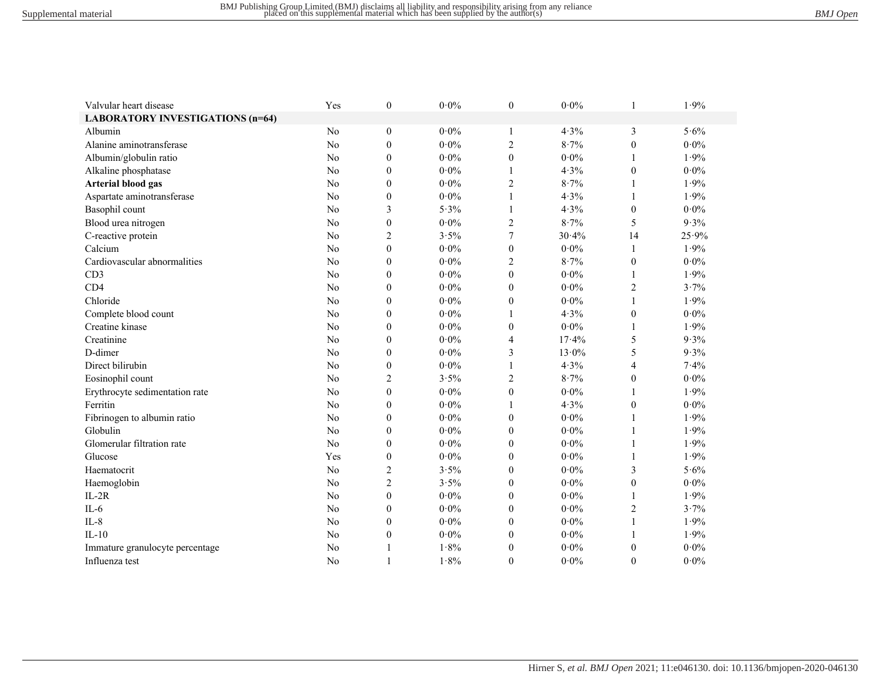| Valvular heart disease                  | Yes            | $\boldsymbol{0}$ | $0\!\cdot\!0\%$ | $\boldsymbol{0}$ | $0\!\cdot\!0\%$ |                  | 1.9%            |
|-----------------------------------------|----------------|------------------|-----------------|------------------|-----------------|------------------|-----------------|
| <b>LABORATORY INVESTIGATIONS (n=64)</b> |                |                  |                 |                  |                 |                  |                 |
| Albumin                                 | N <sub>o</sub> | $\boldsymbol{0}$ | $0.0\%$         | 1                | 4.3%            | 3                | 5.6%            |
| Alanine aminotransferase                | No             | $\boldsymbol{0}$ | $0.0\%$         | $\sqrt{2}$       | 8.7%            | $\theta$         | $0.0\%$         |
| Albumin/globulin ratio                  | No             | $\boldsymbol{0}$ | $0.0\%$         | $\boldsymbol{0}$ | $0.0\%$         | 1                | 1.9%            |
| Alkaline phosphatase                    | N <sub>o</sub> | $\boldsymbol{0}$ | $0.0\%$         | 1                | 4.3%            | $\boldsymbol{0}$ | $0.0\%$         |
| <b>Arterial blood gas</b>               | No             | $\mathbf{0}$     | $0.0\%$         | $\boldsymbol{2}$ | 8.7%            | 1                | 1.9%            |
| Aspartate aminotransferase              | N <sub>o</sub> | $\mathbf{0}$     | $0.0\%$         | $\mathbf{1}$     | 4.3%            | $\mathbf{1}$     | 1.9%            |
| Basophil count                          | No             | 3                | 5.3%            | $\mathbf{1}$     | 4.3%            | $\boldsymbol{0}$ | $0.0\%$         |
| Blood urea nitrogen                     | No             | $\boldsymbol{0}$ | $0\!\cdot\!0\%$ | $\sqrt{2}$       | 8.7%            | 5                | 9.3%            |
| C-reactive protein                      | No             | $\mathbf{2}$     | 3.5%            | $\tau$           | 30.4%           | 14               | 25.9%           |
| Calcium                                 | No             | $\mathbf{0}$     | $0\!\cdot\!0\%$ | $\boldsymbol{0}$ | $0.0\%$         | $\mathbf{1}$     | 1.9%            |
| Cardiovascular abnormalities            | No             | $\mathbf{0}$     | $0.0\%$         | $\overline{c}$   | 8.7%            | $\mathbf{0}$     | $0.0\%$         |
| CD3                                     | N <sub>o</sub> | $\theta$         | $0.0\%$         | $\theta$         | $0.0\%$         | 1                | 1.9%            |
| CD <sub>4</sub>                         | No             | $\mathbf{0}$     | $0.0\%$         | $\mathbf{0}$     | $0.0\%$         | $\sqrt{2}$       | 3.7%            |
| Chloride                                | No             | $\mathbf{0}$     | $0.0\%$         | $\mathbf{0}$     | $0.0\%$         | $\mathbf{1}$     | 1.9%            |
| Complete blood count                    | N <sub>o</sub> | $\mathbf{0}$     | $0.0\%$         | 1                | 4.3%            | $\boldsymbol{0}$ | $0.0\%$         |
| Creatine kinase                         | No             | $\mathbf{0}$     | $0.0\%$         | $\mathbf{0}$     | $0.0\%$         | 1                | 1.9%            |
| Creatinine                              | N <sub>o</sub> | $\mathbf{0}$     | $0.0\%$         | 4                | 17.4%           | 5                | 9.3%            |
| D-dimer                                 | No             | $\boldsymbol{0}$ | $0.0\%$         | 3                | $13.0\%$        | 5                | 9.3%            |
| Direct bilirubin                        | No             | $\boldsymbol{0}$ | $0.0\%$         | 1                | 4.3%            | 4                | 7.4%            |
| Eosinophil count                        | No             | $\overline{c}$   | 3.5%            | $\mathbf{2}$     | 8.7%            | $\boldsymbol{0}$ | $0.0\%$         |
| Erythrocyte sedimentation rate          | No             | $\boldsymbol{0}$ | $0.0\%$         | $\mathbf{0}$     | $0.0\%$         | 1                | 1.9%            |
| Ferritin                                | No             | $\boldsymbol{0}$ | $0.0\%$         | 1                | 4.3%            | $\boldsymbol{0}$ | $0.0\%$         |
| Fibrinogen to albumin ratio             | No             | $\boldsymbol{0}$ | $0.0\%$         | $\boldsymbol{0}$ | $0\!\cdot\!0\%$ | 1                | 1.9%            |
| Globulin                                | N <sub>o</sub> | $\boldsymbol{0}$ | $0.0\%$         | $\boldsymbol{0}$ | $0.0\%$         | 1                | 1.9%            |
| Glomerular filtration rate              | No             | $\mathbf{0}$     | $0.0\%$         | $\mathbf{0}$     | $0.0\%$         | 1                | 1.9%            |
| Glucose                                 | Yes            | $\mathbf{0}$     | $0.0\%$         | $\theta$         | $0.0\%$         | 1                | 1.9%            |
| Haematocrit                             | No             | 2                | 3.5%            | $\boldsymbol{0}$ | $0.0\%$         | 3                | 5.6%            |
| Haemoglobin                             | N <sub>o</sub> | $\overline{c}$   | 3.5%            | $\mathbf{0}$     | $0.0\%$         | $\boldsymbol{0}$ | $0\!\cdot\!0\%$ |
| $IL-2R$                                 | N <sub>o</sub> | $\overline{0}$   | $0.0\%$         | $\mathbf{0}$     | $0.0\%$         | 1                | 1.9%            |
| $IL-6$                                  | N <sub>o</sub> | $\theta$         | $0.0\%$         | $\theta$         | $0.0\%$         | $\overline{c}$   | 3.7%            |
| $IL-8$                                  | No             | $\mathbf{0}$     | $0.0\%$         | $\mathbf{0}$     | $0.0\%$         | $\mathbf{1}$     | 1.9%            |
| $IL-10$                                 | N <sub>o</sub> | $\boldsymbol{0}$ | $0.0\%$         | $\theta$         | $0.0\%$         | 1                | 1.9%            |
| Immature granulocyte percentage         | No             | 1                | 1.8%            | $\theta$         | $0.0\%$         | $\boldsymbol{0}$ | $0\!\cdot\!0\%$ |
| Influenza test                          | N <sub>o</sub> | $\mathbf{1}$     | 1.8%            | $\theta$         | $0.0\%$         | $\theta$         | $0\!\cdot\!0\%$ |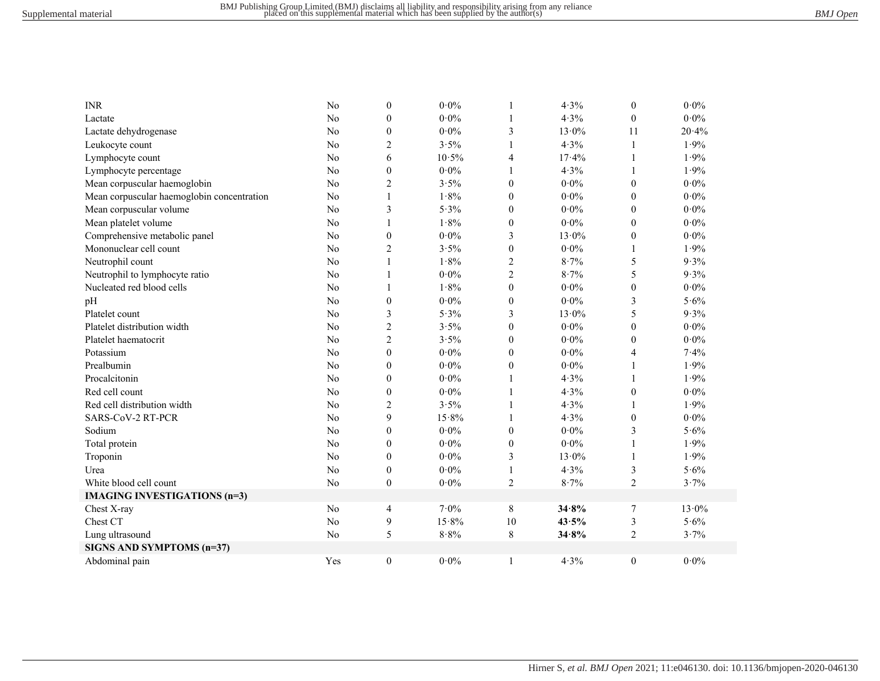| <b>INR</b>                                 | No             | $\mathbf{0}$   | $0.0\%$ | 1                | 4.3%            | $\boldsymbol{0}$ | $0.0\%$         |
|--------------------------------------------|----------------|----------------|---------|------------------|-----------------|------------------|-----------------|
| Lactate                                    | N <sub>o</sub> | $\theta$       | $0.0\%$ | 1                | 4.3%            | $\theta$         | $0.0\%$         |
| Lactate dehydrogenase                      | No             | $\mathbf{0}$   | $0.0\%$ | 3                | $13.0\%$        | 11               | 20.4%           |
| Leukocyte count                            | No             | $\overline{c}$ | $3.5\%$ | $\mathbf{1}$     | 4.3%            | 1                | 1.9%            |
| Lymphocyte count                           | No             | 6              | 10.5%   | 4                | 17.4%           | 1                | 1.9%            |
| Lymphocyte percentage                      | No             | $\mathbf{0}$   | $0.0\%$ | $\mathbf{1}$     | 4.3%            | 1                | 1.9%            |
| Mean corpuscular haemoglobin               | No             | $\overline{c}$ | $3.5\%$ | $\theta$         | $0.0\%$         | $\overline{0}$   | $0.0\%$         |
| Mean corpuscular haemoglobin concentration | No             | 1              | 1.8%    | $\theta$         | $0.0\%$         | $\overline{0}$   | $0.0\%$         |
| Mean corpuscular volume                    | No             | 3              | 5.3%    | $\theta$         | $0.0\%$         | $\overline{0}$   | $0.0\%$         |
| Mean platelet volume                       | No             | 1              | 1.8%    | $\boldsymbol{0}$ | $0.0\%$         | $\overline{0}$   | $0.0\%$         |
| Comprehensive metabolic panel              | No             | $\mathbf{0}$   | $0.0\%$ | 3                | $13.0\%$        | $\overline{0}$   | $0.0\%$         |
| Mononuclear cell count                     | No             | $\overline{c}$ | 3.5%    | $\mathbf{0}$     | $0.0\%$         | 1                | 1.9%            |
| Neutrophil count                           | No             | 1              | 1.8%    | $\overline{2}$   | 8.7%            | 5                | 9.3%            |
| Neutrophil to lymphocyte ratio             | No             | 1              | $0.0\%$ | $\overline{2}$   | 8.7%            | 5                | 9.3%            |
| Nucleated red blood cells                  | No             |                | 1.8%    | $\mathbf{0}$     | $0.0\%$         | $\boldsymbol{0}$ | $0.0\%$         |
| pH                                         | No             | $\mathbf{0}$   | $0.0\%$ | $\theta$         | $0.0\%$         | 3                | 5.6%            |
| Platelet count                             | No             | 3              | 5.3%    | 3                | $13.0\%$        | 5                | 9.3%            |
| Platelet distribution width                | No             | $\overline{c}$ | 3.5%    | $\theta$         | $0.0\%$         | $\boldsymbol{0}$ | $0\!\cdot\!0\%$ |
| Platelet haematocrit                       | No             | $\overline{c}$ | 3.5%    | $\theta$         | $0\!\cdot\!0\%$ | $\boldsymbol{0}$ | $0\!\cdot\!0\%$ |
| Potassium                                  | No             | $\mathbf{0}$   | $0.0\%$ | $\theta$         | $0\!\cdot\!0\%$ | 4                | 7.4%            |
| Prealbumin                                 | No             | $\mathbf{0}$   | $0.0\%$ | $\theta$         | $0\!\cdot\!0\%$ | 1                | 1.9%            |
| Procalcitonin                              | No             | $\mathbf{0}$   | $0.0\%$ | 1                | 4.3%            | 1                | 1.9%            |
| Red cell count                             | No             | $\mathbf{0}$   | $0.0\%$ | $\mathbf{1}$     | 4.3%            | $\mathbf{0}$     | $0.0\%$         |
| Red cell distribution width                | No             | $\overline{2}$ | 3.5%    | 1                | 4.3%            | 1                | 1.9%            |
| SARS-CoV-2 RT-PCR                          | No             | 9              | 15.8%   | 1                | 4.3%            | $\mathbf{0}$     | $0.0\%$         |
| Sodium                                     | No             | $\theta$       | $0.0\%$ | $\theta$         | $0.0\%$         | 3                | $5.6\%$         |
| Total protein                              | No             | $\theta$       | $0.0\%$ | $\theta$         | $0.0\%$         | 1                | 1.9%            |
| Troponin                                   | No             | $\theta$       | $0.0\%$ | 3                | $13.0\%$        | 1                | 1.9%            |
| Urea                                       | No             | $\mathbf{0}$   | $0.0\%$ | $\mathbf{1}$     | 4.3%            | 3                | $5.6\%$         |
| White blood cell count                     | No             | $\theta$       | $0.0\%$ | $\overline{2}$   | 8.7%            | $\overline{2}$   | 3.7%            |
| <b>IMAGING INVESTIGATIONS (n=3)</b>        |                |                |         |                  |                 |                  |                 |
| Chest X-ray                                | No             | $\overline{4}$ | $7.0\%$ | 8                | 34.8%           | $\tau$           | $13.0\%$        |
| Chest CT                                   | No             | 9              | 15.8%   | 10               | 43.5%           | 3                | 5.6%            |
| Lung ultrasound                            | No             | 5              | 8.8%    | 8                | 34.8%           | $\overline{2}$   | 3.7%            |
| SIGNS AND SYMPTOMS (n=37)                  |                |                |         |                  |                 |                  |                 |
| Abdominal pain                             | Yes            | $\theta$       | $0.0\%$ | 1                | 4.3%            | $\theta$         | $0.0\%$         |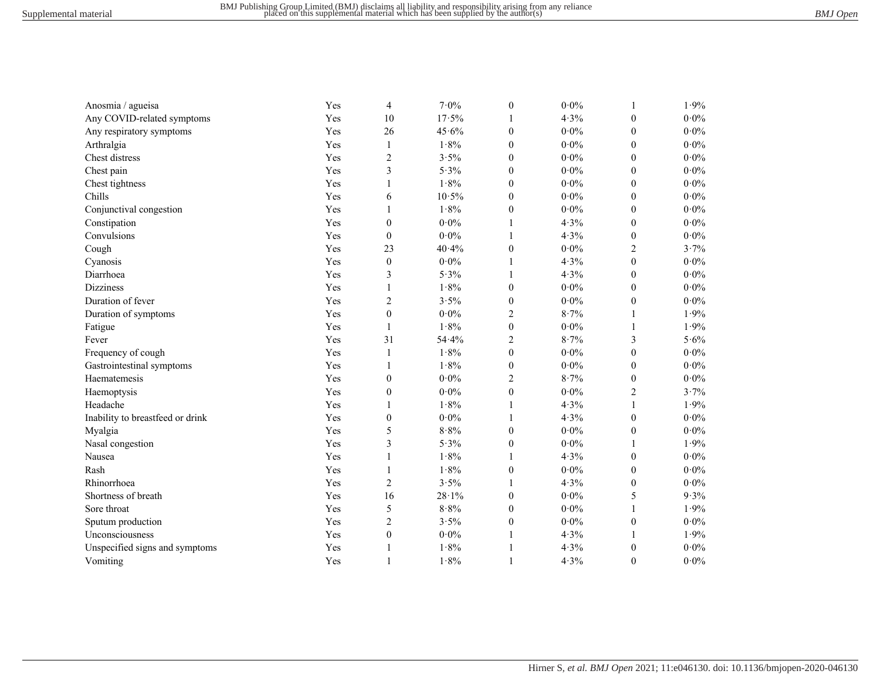| Anosmia / agueisa                | Yes | 4                | $7.0\%$ | $\boldsymbol{0}$ | $0.0\%$         | 1                | 1.9%            |
|----------------------------------|-----|------------------|---------|------------------|-----------------|------------------|-----------------|
| Any COVID-related symptoms       | Yes | 10               | 17.5%   | 1                | 4.3%            | $\boldsymbol{0}$ | $0.0\%$         |
| Any respiratory symptoms         | Yes | 26               | 45.6%   | $\boldsymbol{0}$ | $0.0\%$         | $\boldsymbol{0}$ | $0.0\%$         |
| Arthralgia                       | Yes | 1                | 1.8%    | $\mathbf{0}$     | $0.0\%$         | $\boldsymbol{0}$ | $0\!\cdot\!0\%$ |
| Chest distress                   | Yes | $\overline{c}$   | 3.5%    | $\mathbf{0}$     | $0.0\%$         | $\boldsymbol{0}$ | $0.0\%$         |
| Chest pain                       | Yes | 3                | 5.3%    | $\boldsymbol{0}$ | $0\!\cdot\!0\%$ | $\boldsymbol{0}$ | $0\!\cdot\!0\%$ |
| Chest tightness                  | Yes | 1                | 1.8%    | $\boldsymbol{0}$ | $0\!\cdot\!0\%$ | $\boldsymbol{0}$ | $0.0\%$         |
| Chills                           | Yes | 6                | 10.5%   | $\mathbf{0}$     | $0.0\%$         | $\boldsymbol{0}$ | $0.0\%$         |
| Conjunctival congestion          | Yes | 1                | 1.8%    | $\boldsymbol{0}$ | $0\!\cdot\!0\%$ | $\boldsymbol{0}$ | $0\!\cdot\!0\%$ |
| Constipation                     | Yes | $\boldsymbol{0}$ | $0.0\%$ | 1                | 4.3%            | $\boldsymbol{0}$ | $0.0\%$         |
| Convulsions                      | Yes | $\boldsymbol{0}$ | $0.0\%$ | 1                | 4.3%            | $\boldsymbol{0}$ | $0.0\%$         |
| Cough                            | Yes | 23               | 40.4%   | $\boldsymbol{0}$ | $0\!\cdot\!0\%$ | $\overline{c}$   | 3.7%            |
| Cyanosis                         | Yes | $\boldsymbol{0}$ | $0.0\%$ | 1                | 4.3%            | $\mathbf{0}$     | $0.0\%$         |
| Diarrhoea                        | Yes | 3                | 5.3%    | 1                | 4.3%            | $\boldsymbol{0}$ | $0\!\cdot\!0\%$ |
| <b>Dizziness</b>                 | Yes | 1                | 1.8%    | $\mathbf{0}$     | $0.0\%$         | $\mathbf{0}$     | $0.0\%$         |
| Duration of fever                | Yes | $\overline{c}$   | 3.5%    | $\theta$         | $0\!\cdot\!0\%$ | $\boldsymbol{0}$ | $0.0\%$         |
| Duration of symptoms             | Yes | $\boldsymbol{0}$ | $0.0\%$ | 2                | 8.7%            | 1                | 1.9%            |
| Fatigue                          | Yes | $\mathbf{1}$     | 1.8%    | $\mathbf{0}$     | $0.0\%$         | 1                | 1.9%            |
| Fever                            | Yes | 31               | 54.4%   | $\overline{c}$   | 8.7%            | 3                | 5.6%            |
| Frequency of cough               | Yes | $\mathbf{1}$     | 1.8%    | $\mathbf{0}$     | $0.0\%$         | $\mathbf{0}$     | $0.0\%$         |
| Gastrointestinal symptoms        | Yes | 1                | 1.8%    | $\mathbf{0}$     | $0.0\%$         | $\mathbf{0}$     | $0.0\%$         |
| Haematemesis                     | Yes | $\boldsymbol{0}$ | $0.0\%$ | 2                | 8.7%            | $\boldsymbol{0}$ | $0.0\%$         |
| Haemoptysis                      | Yes | $\boldsymbol{0}$ | $0.0\%$ | $\mathbf{0}$     | $0.0\%$         | $\overline{c}$   | 3.7%            |
| Headache                         | Yes | 1                | 1.8%    | 1                | 4.3%            | $\mathbf{1}$     | 1.9%            |
| Inability to breastfeed or drink | Yes | $\boldsymbol{0}$ | $0.0\%$ | 1                | 4.3%            | $\boldsymbol{0}$ | $0.0\%$         |
| Myalgia                          | Yes | 5                | 8.8%    | $\mathbf{0}$     | $0.0\%$         | $\boldsymbol{0}$ | $0.0\%$         |
| Nasal congestion                 | Yes | 3                | 5.3%    | $\boldsymbol{0}$ | $0\!\cdot\!0\%$ | 1                | 1.9%            |
| Nausea                           | Yes | $\mathbf{1}$     | 1.8%    | 1                | 4.3%            | $\boldsymbol{0}$ | $0\!\cdot\!0\%$ |
| Rash                             | Yes | $\mathbf{1}$     | 1.8%    | $\boldsymbol{0}$ | $0\!\cdot\!0\%$ | $\boldsymbol{0}$ | $0.0\%$         |
| Rhinorrhoea                      | Yes | $\mathbf{2}$     | 3.5%    | 1                | 4.3%            | $\boldsymbol{0}$ | $0\!\cdot\!0\%$ |
| Shortness of breath              | Yes | 16               | 28.1%   | $\boldsymbol{0}$ | $0\!\cdot\!0\%$ | 5                | 9.3%            |
| Sore throat                      | Yes | 5                | $8.8\%$ | $\boldsymbol{0}$ | $0.0\%$         | 1                | 1.9%            |
| Sputum production                | Yes | $\overline{c}$   | 3.5%    | $\boldsymbol{0}$ | $0\!\cdot\!0\%$ | $\boldsymbol{0}$ | $0\!\cdot\!0\%$ |
| Unconsciousness                  | Yes | $\mathbf{0}$     | $0.0\%$ | 1                | 4.3%            | 1                | 1.9%            |
| Unspecified signs and symptoms   | Yes | $\mathbf{1}$     | 1.8%    | 1                | 4.3%            | $\boldsymbol{0}$ | $0.0\%$         |
| Vomiting                         | Yes | $\mathbf{1}$     | 1.8%    | 1                | 4.3%            | $\Omega$         | $0.0\%$         |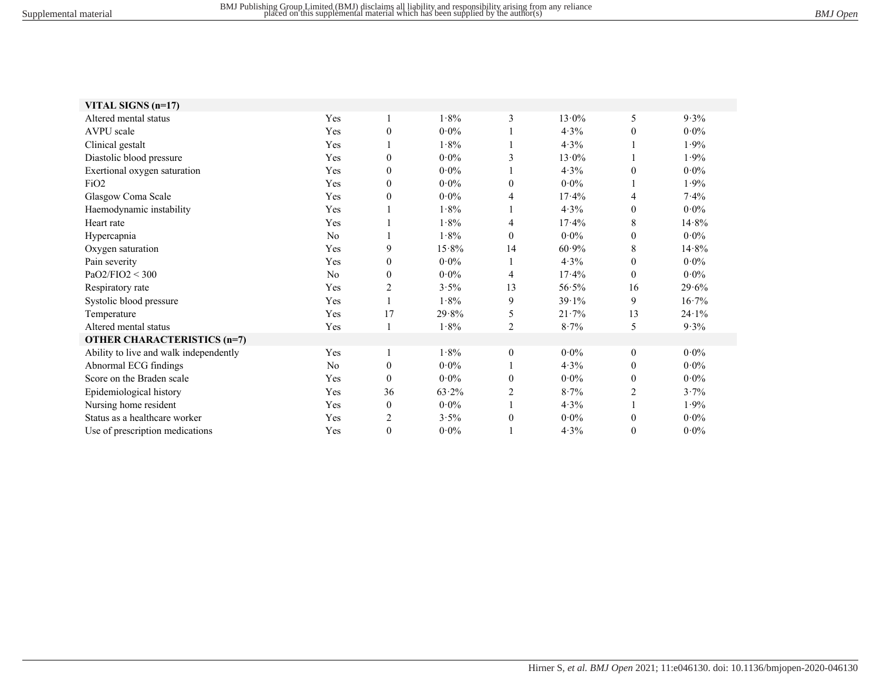| VITAL SIGNS $(n=17)$                   |                |                |         |                |          |                |         |
|----------------------------------------|----------------|----------------|---------|----------------|----------|----------------|---------|
| Altered mental status                  | Yes            | 1              | 1.8%    | 3              | $13.0\%$ | 5              | 9.3%    |
| AVPU scale                             | Yes            | $\theta$       | $0.0\%$ |                | 4.3%     | $\mathbf{0}$   | $0.0\%$ |
| Clinical gestalt                       | Yes            | 1              | $1.8\%$ |                | $4.3\%$  |                | $1.9\%$ |
| Diastolic blood pressure               | Yes            | $\mathbf{0}$   | $0.0\%$ | 3              | $13.0\%$ |                | 1.9%    |
| Exertional oxygen saturation           | Yes            | $\overline{0}$ | $0.0\%$ |                | $4.3\%$  | $\theta$       | $0.0\%$ |
| FiO2                                   | Yes            | $\theta$       | $0.0\%$ | $\theta$       | $0.0\%$  |                | 1.9%    |
| Glasgow Coma Scale                     | Yes            | $\theta$       | $0.0\%$ | 4              | 17.4%    | 4              | 7.4%    |
| Haemodynamic instability               | Yes            |                | 1.8%    |                | $4.3\%$  | $\theta$       | $0.0\%$ |
| Heart rate                             | Yes            |                | $1.8\%$ | 4              | 17.4%    | 8              | 14.8%   |
| Hypercapnia                            | No             |                | 1.8%    | $\Omega$       | $0.0\%$  | $\mathbf{0}$   | $0.0\%$ |
| Oxygen saturation                      | Yes            | 9              | 15.8%   | 14             | $60.9\%$ | 8              | 14.8%   |
| Pain severity                          | Yes            | $\theta$       | $0.0\%$ |                | 4.3%     | $\theta$       | $0.0\%$ |
| PaO2/FIO2 < 300                        | N <sub>o</sub> | $\theta$       | $0.0\%$ | 4              | 17.4%    | $\theta$       | $0.0\%$ |
| Respiratory rate                       | Yes            | $\overline{c}$ | $3.5\%$ | 13             | 56.5%    | 16             | 29.6%   |
| Systolic blood pressure                | Yes            |                | 1.8%    | 9              | 39.1%    | 9              | 16.7%   |
| Temperature                            | Yes            | 17             | 29.8%   | 5              | 21.7%    | 13             | 24.1%   |
| Altered mental status                  | Yes            | $\mathbf{1}$   | $1.8\%$ | $\overline{2}$ | $8.7\%$  | 5              | $9.3\%$ |
| <b>OTHER CHARACTERISTICS (n=7)</b>     |                |                |         |                |          |                |         |
| Ability to live and walk independently | Yes            | 1              | 1.8%    | $\mathbf{0}$   | $0.0\%$  | $\mathbf{0}$   | $0.0\%$ |
| Abnormal ECG findings                  | N <sub>o</sub> | $\overline{0}$ | $0.0\%$ |                | $4.3\%$  | $\mathbf{0}$   | $0.0\%$ |
| Score on the Braden scale              | Yes            | $\theta$       | $0.0\%$ | $\theta$       | $0.0\%$  | $\theta$       | $0.0\%$ |
| Epidemiological history                | Yes            | 36             | 63.2%   | $\overline{c}$ | $8.7\%$  | $\overline{c}$ | $3.7\%$ |
| Nursing home resident                  | Yes            | $\overline{0}$ | $0.0\%$ |                | 4.3%     |                | 1.9%    |
| Status as a healthcare worker          | Yes            | 2              | $3.5\%$ | $\mathbf{0}$   | $0.0\%$  | $\mathbf{0}$   | $0.0\%$ |
| Use of prescription medications        | Yes            | $\theta$       | $0.0\%$ |                | $4.3\%$  | $\Omega$       | $0.0\%$ |
|                                        |                |                |         |                |          |                |         |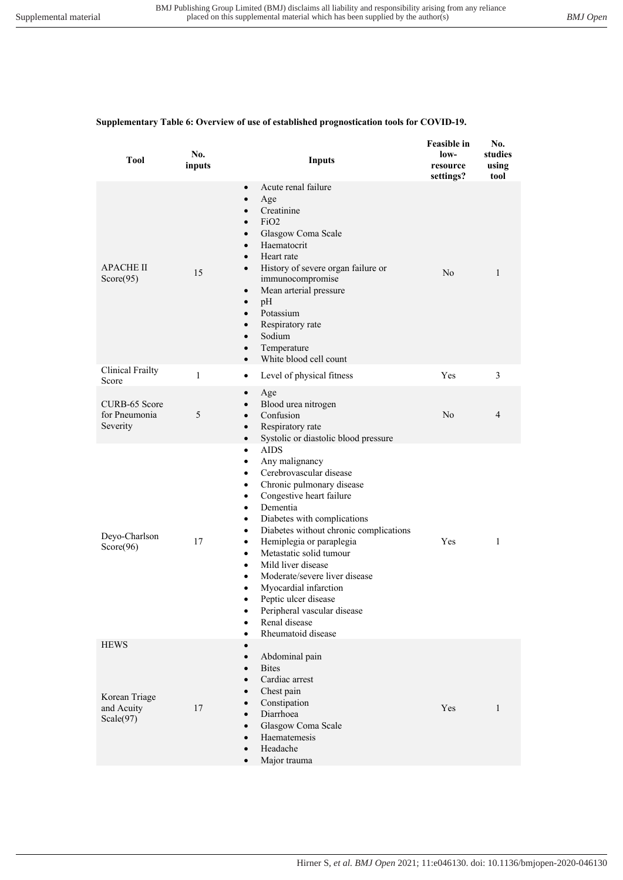#### **Supplementary Table 6: Overview of use of established prognostication tools for COVID-19.**

| settings? | using<br>tool |
|-----------|---------------|
| No        | 1             |
| Yes       | 3             |
| No        | 4             |
| Yes       | 1             |
| Yes       | 1             |
|           |               |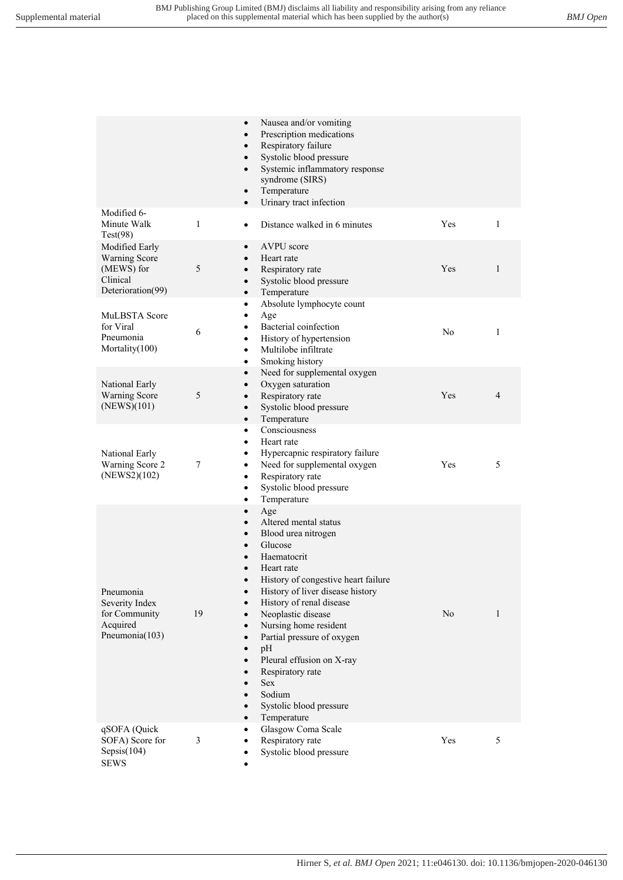|                                                                                | $\bullet$<br>$\bullet$<br>$\bullet$<br>$\bullet$<br>$\bullet$<br>$\bullet$<br>$\bullet$                                                                                                               | Nausea and/or vomiting<br>Prescription medications<br>Respiratory failure<br>Systolic blood pressure<br>Systemic inflammatory response<br>syndrome (SIRS)<br>Temperature<br>Urinary tract infection                                                                                                                                                                                               |     |              |
|--------------------------------------------------------------------------------|-------------------------------------------------------------------------------------------------------------------------------------------------------------------------------------------------------|---------------------------------------------------------------------------------------------------------------------------------------------------------------------------------------------------------------------------------------------------------------------------------------------------------------------------------------------------------------------------------------------------|-----|--------------|
| Modified 6-<br>Minute Walk<br>Test(98)                                         | 1<br>$\bullet$                                                                                                                                                                                        | Distance walked in 6 minutes                                                                                                                                                                                                                                                                                                                                                                      | Yes | $\mathbf{1}$ |
| Modified Early<br>Warning Score<br>(MEWS) for<br>Clinical<br>Deterioration(99) | $\bullet$<br>$\bullet$<br>5<br>$\bullet$<br>$\bullet$<br>$\bullet$                                                                                                                                    | AVPU score<br>Heart rate<br>Respiratory rate<br>Systolic blood pressure<br>Temperature                                                                                                                                                                                                                                                                                                            | Yes | 1            |
| MuLBSTA Score<br>for Viral<br>Pneumonia<br>Mortality(100)                      | $\bullet$<br>$\bullet$<br>$\bullet$<br>6<br>$\bullet$<br>$\bullet$<br>$\bullet$                                                                                                                       | Absolute lymphocyte count<br>Age<br>Bacterial coinfection<br>History of hypertension<br>Multilobe infiltrate<br>Smoking history                                                                                                                                                                                                                                                                   | No  | 1            |
| National Early<br><b>Warning Score</b><br>(NEWS)(101)                          | $\bullet$<br>$\bullet$<br>5<br>$\bullet$<br>$\bullet$<br>$\bullet$                                                                                                                                    | Need for supplemental oxygen<br>Oxygen saturation<br>Respiratory rate<br>Systolic blood pressure<br>Temperature                                                                                                                                                                                                                                                                                   | Yes | 4            |
| National Early<br>Warning Score 2<br>(NEWS2)(102)                              | $\bullet$<br>$\bullet$<br>$\bullet$<br>7<br>$\bullet$<br>$\bullet$<br>$\bullet$<br>$\bullet$                                                                                                          | Consciousness<br>Heart rate<br>Hypercapnic respiratory failure<br>Need for supplemental oxygen<br>Respiratory rate<br>Systolic blood pressure<br>Temperature                                                                                                                                                                                                                                      | Yes | 5            |
| Pneumonia<br>Severity Index<br>for Community<br>Acquired<br>Pneumonia(103)     | $\bullet$<br>$\bullet$<br>$\bullet$<br>$\bullet$<br>$\bullet$<br>$\bullet$<br>19<br>$\bullet$<br>$\bullet$<br>$\bullet$<br>$\bullet$<br>$\bullet$<br>$\bullet$<br>$\bullet$<br>$\bullet$<br>$\bullet$ | Age<br>Altered mental status<br>Blood urea nitrogen<br>Glucose<br>Haematocrit<br>Heart rate<br>History of congestive heart failure<br>History of liver disease history<br>History of renal disease<br>Neoplastic disease<br>Nursing home resident<br>Partial pressure of oxygen<br>pH<br>Pleural effusion on X-ray<br>Respiratory rate<br>Sex<br>Sodium<br>Systolic blood pressure<br>Temperature | No  | 1            |
| qSOFA (Quick<br>SOFA) Score for<br>Sepsis(104)<br><b>SEWS</b>                  | ٠<br>3<br>٠                                                                                                                                                                                           | Glasgow Coma Scale<br>Respiratory rate<br>Systolic blood pressure                                                                                                                                                                                                                                                                                                                                 | Yes | 5            |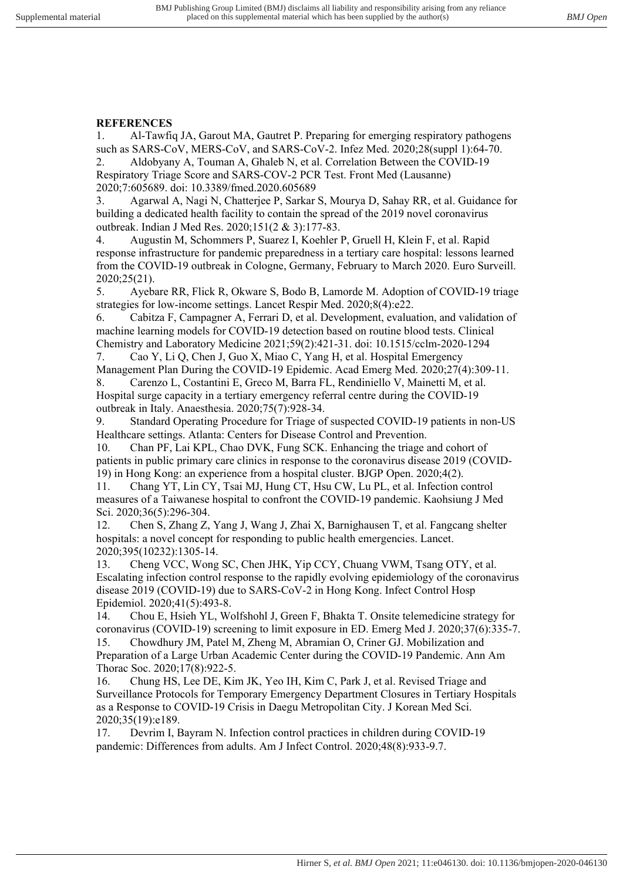# **REFERENCES**

1. Al-Tawfiq JA, Garout MA, Gautret P. Preparing for emerging respiratory pathogens such as SARS-CoV, MERS-CoV, and SARS-CoV-2. Infez Med. 2020;28(suppl 1):64-70. 2. Aldobyany A, Touman A, Ghaleb N, et al. Correlation Between the COVID-19

Respiratory Triage Score and SARS-COV-2 PCR Test. Front Med (Lausanne) 2020;7:605689. doi: 10.3389/fmed.2020.605689

3. Agarwal A, Nagi N, Chatterjee P, Sarkar S, Mourya D, Sahay RR, et al. Guidance for building a dedicated health facility to contain the spread of the 2019 novel coronavirus outbreak. Indian J Med Res. 2020;151(2 & 3):177-83.

4. Augustin M, Schommers P, Suarez I, Koehler P, Gruell H, Klein F, et al. Rapid response infrastructure for pandemic preparedness in a tertiary care hospital: lessons learned from the COVID-19 outbreak in Cologne, Germany, February to March 2020. Euro Surveill. 2020;25(21).

5. Ayebare RR, Flick R, Okware S, Bodo B, Lamorde M. Adoption of COVID-19 triage strategies for low-income settings. Lancet Respir Med. 2020;8(4):e22.

6. Cabitza F, Campagner A, Ferrari D, et al. Development, evaluation, and validation of machine learning models for COVID-19 detection based on routine blood tests. Clinical Chemistry and Laboratory Medicine 2021;59(2):421-31. doi: 10.1515/cclm-2020-1294

7. Cao Y, Li Q, Chen J, Guo X, Miao C, Yang H, et al. Hospital Emergency Management Plan During the COVID-19 Epidemic. Acad Emerg Med. 2020;27(4):309-11.

8. Carenzo L, Costantini E, Greco M, Barra FL, Rendiniello V, Mainetti M, et al. Hospital surge capacity in a tertiary emergency referral centre during the COVID-19 outbreak in Italy. Anaesthesia. 2020;75(7):928-34.

9. Standard Operating Procedure for Triage of suspected COVID-19 patients in non-US Healthcare settings. Atlanta: Centers for Disease Control and Prevention.

10. Chan PF, Lai KPL, Chao DVK, Fung SCK. Enhancing the triage and cohort of patients in public primary care clinics in response to the coronavirus disease 2019 (COVID-19) in Hong Kong: an experience from a hospital cluster. BJGP Open. 2020;4(2).

11. Chang YT, Lin CY, Tsai MJ, Hung CT, Hsu CW, Lu PL, et al. Infection control measures of a Taiwanese hospital to confront the COVID-19 pandemic. Kaohsiung J Med Sci. 2020;36(5):296-304.

12. Chen S, Zhang Z, Yang J, Wang J, Zhai X, Barnighausen T, et al. Fangcang shelter hospitals: a novel concept for responding to public health emergencies. Lancet. 2020;395(10232):1305-14.

13. Cheng VCC, Wong SC, Chen JHK, Yip CCY, Chuang VWM, Tsang OTY, et al. Escalating infection control response to the rapidly evolving epidemiology of the coronavirus disease 2019 (COVID-19) due to SARS-CoV-2 in Hong Kong. Infect Control Hosp Epidemiol. 2020;41(5):493-8.

14. Chou E, Hsieh YL, Wolfshohl J, Green F, Bhakta T. Onsite telemedicine strategy for coronavirus (COVID-19) screening to limit exposure in ED. Emerg Med J. 2020;37(6):335-7. 15. Chowdhury JM, Patel M, Zheng M, Abramian O, Criner GJ. Mobilization and Preparation of a Large Urban Academic Center during the COVID-19 Pandemic. Ann Am

Thorac Soc. 2020;17(8):922-5.<br>16. Chung HS. Lee DE. Kii

16. Chung HS, Lee DE, Kim JK, Yeo IH, Kim C, Park J, et al. Revised Triage and Surveillance Protocols for Temporary Emergency Department Closures in Tertiary Hospitals as a Response to COVID-19 Crisis in Daegu Metropolitan City. J Korean Med Sci. 2020;35(19):e189.

17. Devrim I, Bayram N. Infection control practices in children during COVID-19 pandemic: Differences from adults. Am J Infect Control. 2020;48(8):933-9.7.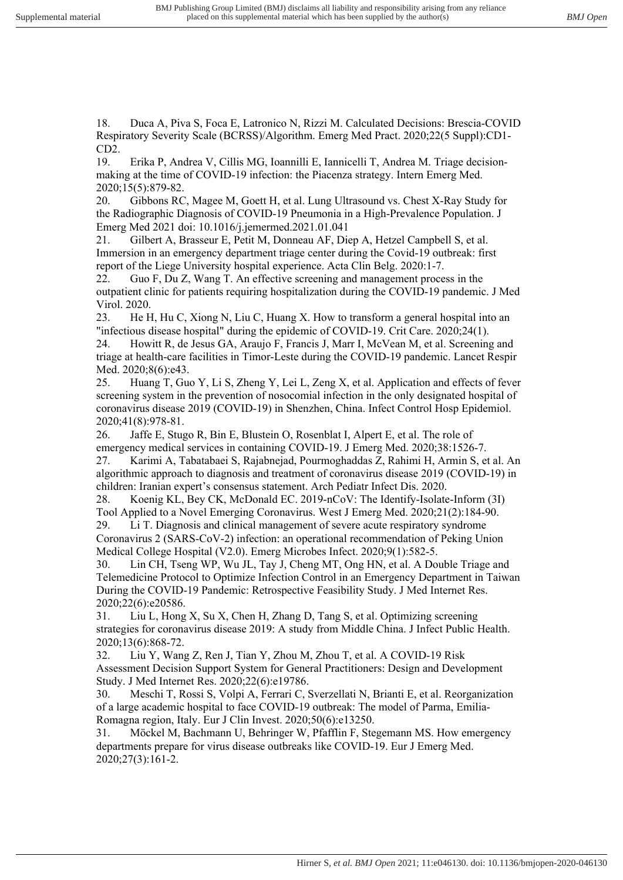18. Duca A, Piva S, Foca E, Latronico N, Rizzi M. Calculated Decisions: Brescia-COVID Respiratory Severity Scale (BCRSS)/Algorithm. Emerg Med Pract. 2020;22(5 Suppl):CD1- CD2.

19. Erika P, Andrea V, Cillis MG, Ioannilli E, Iannicelli T, Andrea M. Triage decisionmaking at the time of COVID-19 infection: the Piacenza strategy. Intern Emerg Med. 2020;15(5):879-82.

20. Gibbons RC, Magee M, Goett H, et al. Lung Ultrasound vs. Chest X-Ray Study for the Radiographic Diagnosis of COVID-19 Pneumonia in a High-Prevalence Population. J Emerg Med 2021 doi: 10.1016/j.jemermed.2021.01.041

21. Gilbert A, Brasseur E, Petit M, Donneau AF, Diep A, Hetzel Campbell S, et al. Immersion in an emergency department triage center during the Covid-19 outbreak: first report of the Liege University hospital experience. Acta Clin Belg. 2020:1-7.

22. Guo F, Du Z, Wang T. An effective screening and management process in the outpatient clinic for patients requiring hospitalization during the COVID-19 pandemic. J Med Virol. 2020.<br>23. He F

He H, Hu C, Xiong N, Liu C, Huang X. How to transform a general hospital into an "infectious disease hospital" during the epidemic of COVID-19. Crit Care. 2020;24(1).

24. Howitt R, de Jesus GA, Araujo F, Francis J, Marr I, McVean M, et al. Screening and triage at health-care facilities in Timor-Leste during the COVID-19 pandemic. Lancet Respir Med. 2020;8(6):e43.

25. Huang T, Guo Y, Li S, Zheng Y, Lei L, Zeng X, et al. Application and effects of fever screening system in the prevention of nosocomial infection in the only designated hospital of coronavirus disease 2019 (COVID-19) in Shenzhen, China. Infect Control Hosp Epidemiol. 2020;41(8):978-81.

26. Jaffe E, Stugo R, Bin E, Blustein O, Rosenblat I, Alpert E, et al. The role of emergency medical services in containing COVID-19. J Emerg Med. 2020;38:1526-7.

27. Karimi A, Tabatabaei S, Rajabnejad, Pourmoghaddas Z, Rahimi H, Armin S, et al. An algorithmic approach to diagnosis and treatment of coronavirus disease 2019 (COVID-19) in children: Iranian expert's consensus statement. Arch Pediatr Infect Dis. 2020.

28. Koenig KL, Bey CK, McDonald EC. 2019-nCoV: The Identify-Isolate-Inform (3I) Tool Applied to a Novel Emerging Coronavirus. West J Emerg Med. 2020;21(2):184-90. 29. Li T. Diagnosis and clinical management of severe acute respiratory syndrome Coronavirus 2 (SARS-CoV-2) infection: an operational recommendation of Peking Union Medical College Hospital (V2.0). Emerg Microbes Infect. 2020;9(1):582-5.

30. Lin CH, Tseng WP, Wu JL, Tay J, Cheng MT, Ong HN, et al. A Double Triage and Telemedicine Protocol to Optimize Infection Control in an Emergency Department in Taiwan During the COVID-19 Pandemic: Retrospective Feasibility Study. J Med Internet Res. 2020;22(6):e20586.

31. Liu L, Hong X, Su X, Chen H, Zhang D, Tang S, et al. Optimizing screening strategies for coronavirus disease 2019: A study from Middle China. J Infect Public Health. 2020;13(6):868-72.

32. Liu Y, Wang Z, Ren J, Tian Y, Zhou M, Zhou T, et al. A COVID-19 Risk Assessment Decision Support System for General Practitioners: Design and Development Study. J Med Internet Res. 2020;22(6):e19786.

30. Meschi T, Rossi S, Volpi A, Ferrari C, Sverzellati N, Brianti E, et al. Reorganization of a large academic hospital to face COVID-19 outbreak: The model of Parma, Emilia-Romagna region, Italy. Eur J Clin Invest. 2020;50(6):e13250.

31. Möckel M, Bachmann U, Behringer W, Pfafflin F, Stegemann MS. How emergency departments prepare for virus disease outbreaks like COVID-19. Eur J Emerg Med. 2020;27(3):161-2.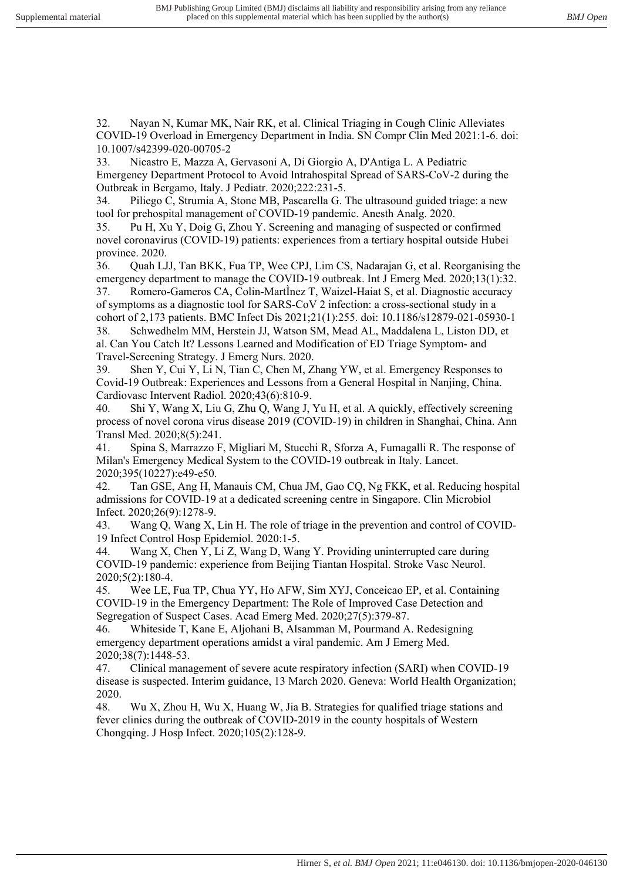32. Nayan N, Kumar MK, Nair RK, et al. Clinical Triaging in Cough Clinic Alleviates COVID-19 Overload in Emergency Department in India. SN Compr Clin Med 2021:1-6. doi: 10.1007/s42399-020-00705-2

33. Nicastro E, Mazza A, Gervasoni A, Di Giorgio A, D'Antiga L. A Pediatric Emergency Department Protocol to Avoid Intrahospital Spread of SARS-CoV-2 during the Outbreak in Bergamo, Italy. J Pediatr. 2020;222:231-5.

34. Piliego C, Strumia A, Stone MB, Pascarella G. The ultrasound guided triage: a new tool for prehospital management of COVID-19 pandemic. Anesth Analg. 2020.

35. Pu H, Xu Y, Doig G, Zhou Y. Screening and managing of suspected or confirmed novel coronavirus (COVID-19) patients: experiences from a tertiary hospital outside Hubei province. 2020.

36. Quah LJJ, Tan BKK, Fua TP, Wee CPJ, Lim CS, Nadarajan G, et al. Reorganising the emergency department to manage the COVID-19 outbreak. Int J Emerg Med. 2020;13(1):32. 37. Romero-Gameros CA, Colin-MartÌnez T, Waizel-Haiat S, et al. Diagnostic accuracy

of symptoms as a diagnostic tool for SARS-CoV 2 infection: a cross-sectional study in a cohort of 2,173 patients. BMC Infect Dis 2021;21(1):255. doi: 10.1186/s12879-021-05930-1

38. Schwedhelm MM, Herstein JJ, Watson SM, Mead AL, Maddalena L, Liston DD, et al. Can You Catch It? Lessons Learned and Modification of ED Triage Symptom- and Travel-Screening Strategy. J Emerg Nurs. 2020.

39. Shen Y, Cui Y, Li N, Tian C, Chen M, Zhang YW, et al. Emergency Responses to Covid-19 Outbreak: Experiences and Lessons from a General Hospital in Nanjing, China. Cardiovasc Intervent Radiol. 2020;43(6):810-9.

40. Shi Y, Wang X, Liu G, Zhu Q, Wang J, Yu H, et al. A quickly, effectively screening process of novel corona virus disease 2019 (COVID-19) in children in Shanghai, China. Ann Transl Med. 2020;8(5):241.

41. Spina S, Marrazzo F, Migliari M, Stucchi R, Sforza A, Fumagalli R. The response of Milan's Emergency Medical System to the COVID-19 outbreak in Italy. Lancet. 2020;395(10227):e49-e50.

42. Tan GSE, Ang H, Manauis CM, Chua JM, Gao CQ, Ng FKK, et al. Reducing hospital admissions for COVID-19 at a dedicated screening centre in Singapore. Clin Microbiol Infect. 2020;26(9):1278-9.

43. Wang Q, Wang X, Lin H. The role of triage in the prevention and control of COVID-19 Infect Control Hosp Epidemiol. 2020:1-5.

44. Wang X, Chen Y, Li Z, Wang D, Wang Y. Providing uninterrupted care during COVID-19 pandemic: experience from Beijing Tiantan Hospital. Stroke Vasc Neurol. 2020;5(2):180-4.

45. Wee LE, Fua TP, Chua YY, Ho AFW, Sim XYJ, Conceicao EP, et al. Containing COVID-19 in the Emergency Department: The Role of Improved Case Detection and Segregation of Suspect Cases. Acad Emerg Med. 2020;27(5):379-87.

46. Whiteside T, Kane E, Aljohani B, Alsamman M, Pourmand A. Redesigning emergency department operations amidst a viral pandemic. Am J Emerg Med. 2020;38(7):1448-53.

47. Clinical management of severe acute respiratory infection (SARI) when COVID-19 disease is suspected. Interim guidance, 13 March 2020. Geneva: World Health Organization; 2020.

48. Wu X, Zhou H, Wu X, Huang W, Jia B. Strategies for qualified triage stations and fever clinics during the outbreak of COVID-2019 in the county hospitals of Western Chongqing. J Hosp Infect. 2020;105(2):128-9.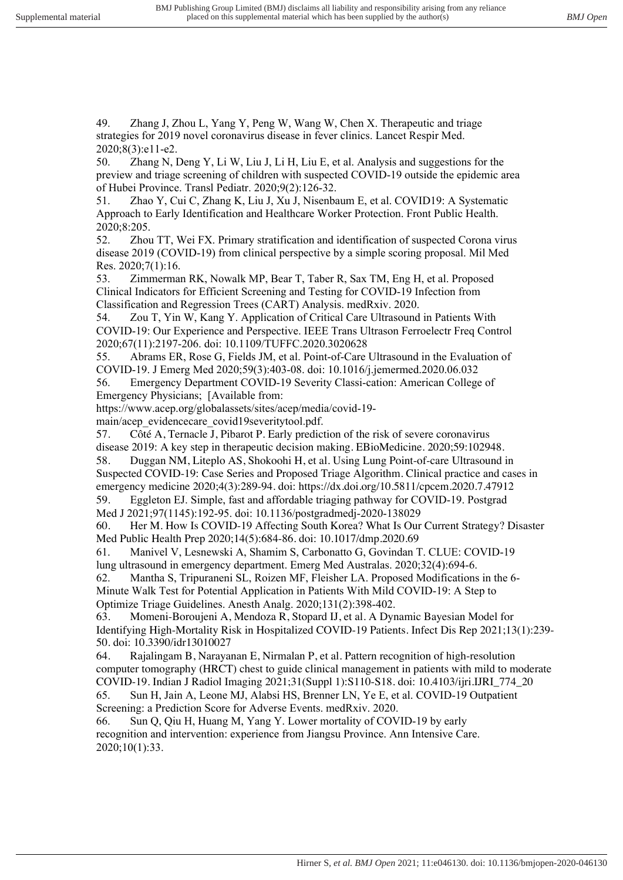49. Zhang J, Zhou L, Yang Y, Peng W, Wang W, Chen X. Therapeutic and triage strategies for 2019 novel coronavirus disease in fever clinics. Lancet Respir Med. 2020;8(3):e11-e2.

50. Zhang N, Deng Y, Li W, Liu J, Li H, Liu E, et al. Analysis and suggestions for the preview and triage screening of children with suspected COVID-19 outside the epidemic area of Hubei Province. Transl Pediatr. 2020;9(2):126-32.

51. Zhao Y, Cui C, Zhang K, Liu J, Xu J, Nisenbaum E, et al. COVID19: A Systematic Approach to Early Identification and Healthcare Worker Protection. Front Public Health. 2020;8:205.

52. Zhou TT, Wei FX. Primary stratification and identification of suspected Corona virus disease 2019 (COVID-19) from clinical perspective by a simple scoring proposal. Mil Med Res. 2020;7(1):16.

53. Zimmerman RK, Nowalk MP, Bear T, Taber R, Sax TM, Eng H, et al. Proposed Clinical Indicators for Efficient Screening and Testing for COVID-19 Infection from Classification and Regression Trees (CART) Analysis. medRxiv. 2020.

54. Zou T, Yin W, Kang Y. Application of Critical Care Ultrasound in Patients With COVID-19: Our Experience and Perspective. IEEE Trans Ultrason Ferroelectr Freq Control 2020;67(11):2197-206. doi: 10.1109/TUFFC.2020.3020628

55. Abrams ER, Rose G, Fields JM, et al. Point-of-Care Ultrasound in the Evaluation of COVID-19. J Emerg Med 2020;59(3):403-08. doi: 10.1016/j.jemermed.2020.06.032

56. Emergency Department COVID-19 Severity Classi-cation: American College of Emergency Physicians; [Available from:

https://www.acep.org/globalassets/sites/acep/media/covid-19-

main/acep\_evidencecare\_covid19severitytool.pdf.

57. Côté A, Ternacle J, Pibarot P. Early prediction of the risk of severe coronavirus disease 2019: A key step in therapeutic decision making. EBioMedicine. 2020;59:102948.

58. Duggan NM, Liteplo AS, Shokoohi H, et al. Using Lung Point-of-care Ultrasound in Suspected COVID-19: Case Series and Proposed Triage Algorithm. Clinical practice and cases in emergency medicine 2020;4(3):289-94. doi: https://dx.doi.org/10.5811/cpcem.2020.7.47912

59. Eggleton EJ. Simple, fast and affordable triaging pathway for COVID-19. Postgrad Med J 2021;97(1145):192-95. doi: 10.1136/postgradmedj-2020-138029

60. Her M. How Is COVID-19 Affecting South Korea? What Is Our Current Strategy? Disaster Med Public Health Prep 2020;14(5):684-86. doi: 10.1017/dmp.2020.69

61. Manivel V, Lesnewski A, Shamim S, Carbonatto G, Govindan T. CLUE: COVID-19 lung ultrasound in emergency department. Emerg Med Australas. 2020;32(4):694-6.

62. Mantha S, Tripuraneni SL, Roizen MF, Fleisher LA. Proposed Modifications in the 6- Minute Walk Test for Potential Application in Patients With Mild COVID-19: A Step to Optimize Triage Guidelines. Anesth Analg. 2020;131(2):398-402.

63. Momeni-Boroujeni A, Mendoza R, Stopard IJ, et al. A Dynamic Bayesian Model for Identifying High-Mortality Risk in Hospitalized COVID-19 Patients. Infect Dis Rep 2021;13(1):239- 50. doi: 10.3390/idr13010027

64. Rajalingam B, Narayanan E, Nirmalan P, et al. Pattern recognition of high-resolution computer tomography (HRCT) chest to guide clinical management in patients with mild to moderate COVID-19. Indian J Radiol Imaging 2021;31(Suppl 1):S110-S18. doi: 10.4103/ijri.IJRI\_774\_20

65. Sun H, Jain A, Leone MJ, Alabsi HS, Brenner LN, Ye E, et al. COVID-19 Outpatient Screening: a Prediction Score for Adverse Events. medRxiv. 2020.

66. Sun Q, Qiu H, Huang M, Yang Y. Lower mortality of COVID-19 by early recognition and intervention: experience from Jiangsu Province. Ann Intensive Care. 2020;10(1):33.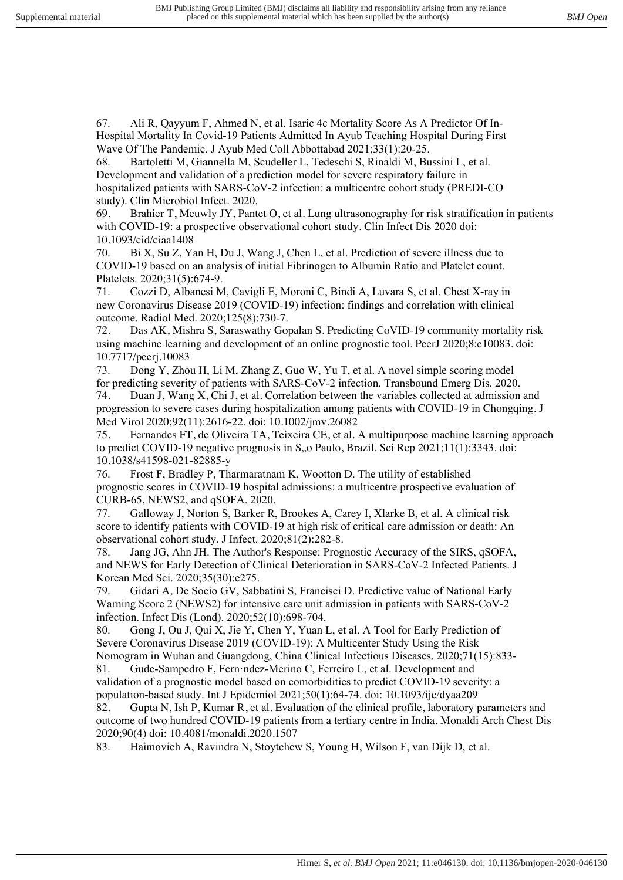67. Ali R, Qayyum F, Ahmed N, et al. Isaric 4c Mortality Score As A Predictor Of In-Hospital Mortality In Covid-19 Patients Admitted In Ayub Teaching Hospital During First Wave Of The Pandemic. J Ayub Med Coll Abbottabad 2021;33(1):20-25.

68. Bartoletti M, Giannella M, Scudeller L, Tedeschi S, Rinaldi M, Bussini L, et al. Development and validation of a prediction model for severe respiratory failure in hospitalized patients with SARS-CoV-2 infection: a multicentre cohort study (PREDI-CO study). Clin Microbiol Infect. 2020.

69. Brahier T, Meuwly JY, Pantet O, et al. Lung ultrasonography for risk stratification in patients with COVID-19: a prospective observational cohort study. Clin Infect Dis 2020 doi: 10.1093/cid/ciaa1408

70. Bi X, Su Z, Yan H, Du J, Wang J, Chen L, et al. Prediction of severe illness due to COVID-19 based on an analysis of initial Fibrinogen to Albumin Ratio and Platelet count. Platelets. 2020;31(5):674-9.

71. Cozzi D, Albanesi M, Cavigli E, Moroni C, Bindi A, Luvara S, et al. Chest X-ray in new Coronavirus Disease 2019 (COVID-19) infection: findings and correlation with clinical outcome. Radiol Med. 2020;125(8):730-7.

72. Das AK, Mishra S, Saraswathy Gopalan S. Predicting CoVID-19 community mortality risk using machine learning and development of an online prognostic tool. PeerJ 2020;8:e10083. doi: 10.7717/peerj.10083

73. Dong Y, Zhou H, Li M, Zhang Z, Guo W, Yu T, et al. A novel simple scoring model for predicting severity of patients with SARS-CoV-2 infection. Transbound Emerg Dis. 2020. 74. Duan J, Wang X, Chi J, et al. Correlation between the variables collected at admission and progression to severe cases during hospitalization among patients with COVID-19 in Chongqing. J Med Virol 2020;92(11):2616-22. doi: 10.1002/jmv.26082

75. Fernandes FT, de Oliveira TA, Teixeira CE, et al. A multipurpose machine learning approach to predict COVID-19 negative prognosis in  $S_{n}$ , Paulo, Brazil. Sci Rep 2021;11(1):3343. doi: 10.1038/s41598-021-82885-y

76. Frost F, Bradley P, Tharmaratnam K, Wootton D. The utility of established prognostic scores in COVID-19 hospital admissions: a multicentre prospective evaluation of CURB-65, NEWS2, and qSOFA. 2020.

77. Galloway J, Norton S, Barker R, Brookes A, Carey I, Xlarke B, et al. A clinical risk score to identify patients with COVID-19 at high risk of critical care admission or death: An observational cohort study. J Infect. 2020;81(2):282-8.

78. Jang JG, Ahn JH. The Author's Response: Prognostic Accuracy of the SIRS, qSOFA, and NEWS for Early Detection of Clinical Deterioration in SARS-CoV-2 Infected Patients. J Korean Med Sci. 2020;35(30):e275.

79. Gidari A, De Socio GV, Sabbatini S, Francisci D. Predictive value of National Early Warning Score 2 (NEWS2) for intensive care unit admission in patients with SARS-CoV-2 infection. Infect Dis (Lond). 2020;52(10):698-704.

80. Gong J, Ou J, Qui X, Jie Y, Chen Y, Yuan L, et al. A Tool for Early Prediction of Severe Coronavirus Disease 2019 (COVID-19): A Multicenter Study Using the Risk

Nomogram in Wuhan and Guangdong, China Clinical Infectious Diseases. 2020;71(15):833- 81. Gude-Sampedro F, Fern·ndez-Merino C, Ferreiro L, et al. Development and validation of a prognostic model based on comorbidities to predict COVID-19 severity: a population-based study. Int J Epidemiol 2021;50(1):64-74. doi: 10.1093/ije/dyaa209

82. Gupta N, Ish P, Kumar R, et al. Evaluation of the clinical profile, laboratory parameters and outcome of two hundred COVID-19 patients from a tertiary centre in India. Monaldi Arch Chest Dis 2020;90(4) doi: 10.4081/monaldi.2020.1507

83. Haimovich A, Ravindra N, Stoytchew S, Young H, Wilson F, van Dijk D, et al.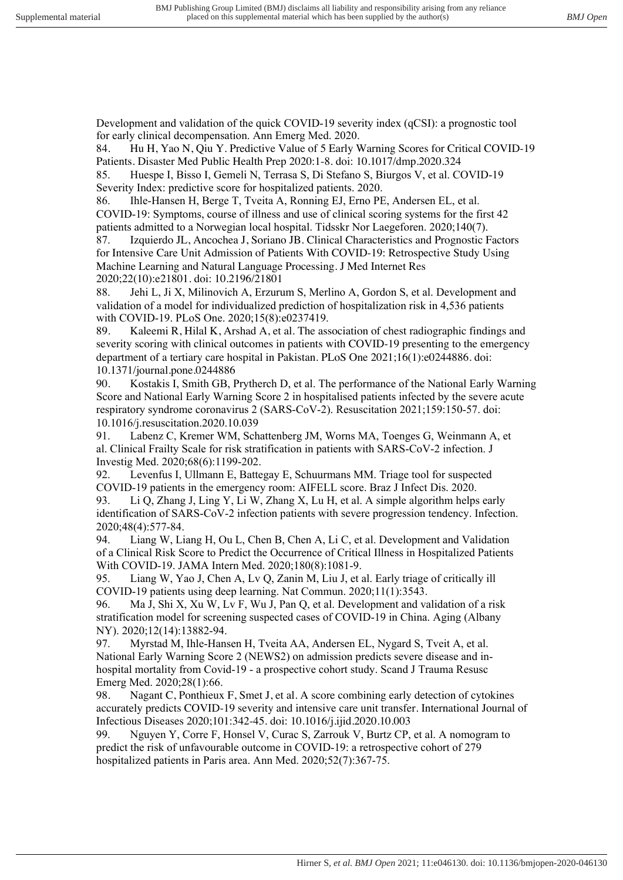Development and validation of the quick COVID-19 severity index (qCSI): a prognostic tool for early clinical decompensation. Ann Emerg Med. 2020.

84. Hu H, Yao N, Qiu Y. Predictive Value of 5 Early Warning Scores for Critical COVID-19 Patients. Disaster Med Public Health Prep 2020:1-8. doi: 10.1017/dmp.2020.324

85. Huespe I, Bisso I, Gemeli N, Terrasa S, Di Stefano S, Biurgos V, et al. COVID-19 Severity Index: predictive score for hospitalized patients. 2020.

86. Ihle-Hansen H, Berge T, Tveita A, Ronning EJ, Erno PE, Andersen EL, et al. COVID-19: Symptoms, course of illness and use of clinical scoring systems for the first 42 patients admitted to a Norwegian local hospital. Tidsskr Nor Laegeforen. 2020;140(7).

87. Izquierdo JL, Ancochea J, Soriano JB. Clinical Characteristics and Prognostic Factors for Intensive Care Unit Admission of Patients With COVID-19: Retrospective Study Using Machine Learning and Natural Language Processing. J Med Internet Res 2020;22(10):e21801. doi: 10.2196/21801

88. Jehi L, Ji X, Milinovich A, Erzurum S, Merlino A, Gordon S, et al. Development and validation of a model for individualized prediction of hospitalization risk in 4,536 patients with COVID-19. PLoS One. 2020;15(8):e0237419.

89. Kaleemi R, Hilal K, Arshad A, et al. The association of chest radiographic findings and severity scoring with clinical outcomes in patients with COVID-19 presenting to the emergency department of a tertiary care hospital in Pakistan. PLoS One 2021;16(1):e0244886. doi: 10.1371/journal.pone.0244886

90. Kostakis I, Smith GB, Prytherch D, et al. The performance of the National Early Warning Score and National Early Warning Score 2 in hospitalised patients infected by the severe acute respiratory syndrome coronavirus 2 (SARS-CoV-2). Resuscitation 2021;159:150-57. doi: 10.1016/j.resuscitation.2020.10.039

91. Labenz C, Kremer WM, Schattenberg JM, Worns MA, Toenges G, Weinmann A, et al. Clinical Frailty Scale for risk stratification in patients with SARS-CoV-2 infection. J Investig Med. 2020;68(6):1199-202.

92. Levenfus I, Ullmann E, Battegay E, Schuurmans MM. Triage tool for suspected COVID-19 patients in the emergency room: AIFELL score. Braz J Infect Dis. 2020.

93. Li Q, Zhang J, Ling Y, Li W, Zhang X, Lu H, et al. A simple algorithm helps early identification of SARS-CoV-2 infection patients with severe progression tendency. Infection. 2020;48(4):577-84.

94. Liang W, Liang H, Ou L, Chen B, Chen A, Li C, et al. Development and Validation of a Clinical Risk Score to Predict the Occurrence of Critical Illness in Hospitalized Patients With COVID-19. JAMA Intern Med. 2020;180(8):1081-9.

95. Liang W, Yao J, Chen A, Lv Q, Zanin M, Liu J, et al. Early triage of critically ill COVID-19 patients using deep learning. Nat Commun. 2020;11(1):3543.

96. Ma J, Shi X, Xu W, Lv F, Wu J, Pan Q, et al. Development and validation of a risk stratification model for screening suspected cases of COVID-19 in China. Aging (Albany NY). 2020;12(14):13882-94.

97. Myrstad M, Ihle-Hansen H, Tveita AA, Andersen EL, Nygard S, Tveit A, et al. National Early Warning Score 2 (NEWS2) on admission predicts severe disease and inhospital mortality from Covid-19 - a prospective cohort study. Scand J Trauma Resusc Emerg Med. 2020;28(1):66.

98. Nagant C, Ponthieux F, Smet J, et al. A score combining early detection of cytokines accurately predicts COVID-19 severity and intensive care unit transfer. International Journal of Infectious Diseases 2020;101:342-45. doi: 10.1016/j.ijid.2020.10.003

99. Nguyen Y, Corre F, Honsel V, Curac S, Zarrouk V, Burtz CP, et al. A nomogram to predict the risk of unfavourable outcome in COVID-19: a retrospective cohort of 279 hospitalized patients in Paris area. Ann Med. 2020;52(7):367-75.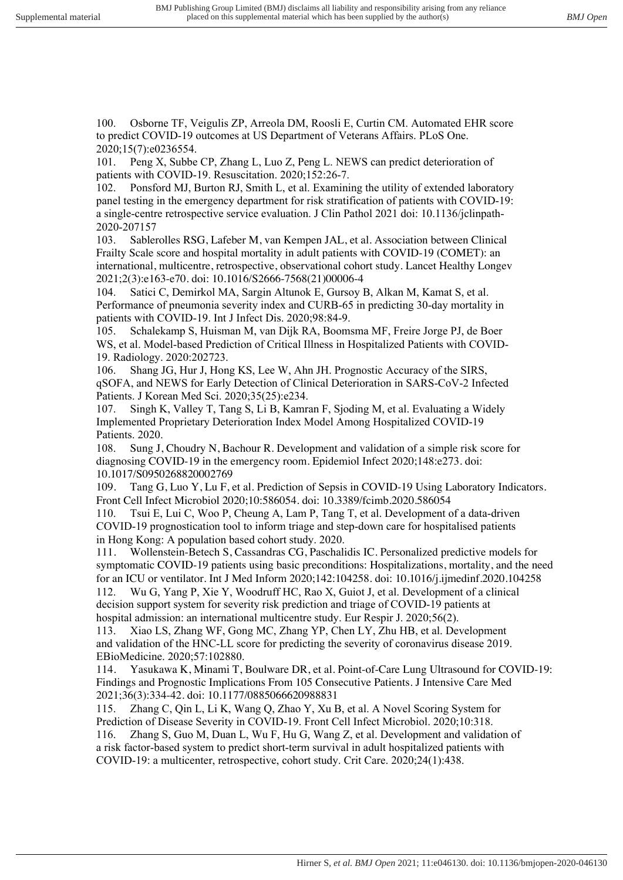100. Osborne TF, Veigulis ZP, Arreola DM, Roosli E, Curtin CM. Automated EHR score to predict COVID-19 outcomes at US Department of Veterans Affairs. PLoS One. 2020;15(7):e0236554.

101. Peng X, Subbe CP, Zhang L, Luo Z, Peng L. NEWS can predict deterioration of patients with COVID-19. Resuscitation. 2020;152:26-7.

102. Ponsford MJ, Burton RJ, Smith L, et al. Examining the utility of extended laboratory panel testing in the emergency department for risk stratification of patients with COVID-19: a single-centre retrospective service evaluation. J Clin Pathol 2021 doi: 10.1136/jclinpath-2020-207157

103. Sablerolles RSG, Lafeber M, van Kempen JAL, et al. Association between Clinical Frailty Scale score and hospital mortality in adult patients with COVID-19 (COMET): an international, multicentre, retrospective, observational cohort study. Lancet Healthy Longev 2021;2(3):e163-e70. doi: 10.1016/S2666-7568(21)00006-4

104. Satici C, Demirkol MA, Sargin Altunok E, Gursoy B, Alkan M, Kamat S, et al. Performance of pneumonia severity index and CURB-65 in predicting 30-day mortality in patients with COVID-19. Int J Infect Dis. 2020;98:84-9.

105. Schalekamp S, Huisman M, van Dijk RA, Boomsma MF, Freire Jorge PJ, de Boer WS, et al. Model-based Prediction of Critical Illness in Hospitalized Patients with COVID-19. Radiology. 2020:202723.

106. Shang JG, Hur J, Hong KS, Lee W, Ahn JH. Prognostic Accuracy of the SIRS, qSOFA, and NEWS for Early Detection of Clinical Deterioration in SARS-CoV-2 Infected Patients. J Korean Med Sci. 2020;35(25):e234.

107. Singh K, Valley T, Tang S, Li B, Kamran F, Sjoding M, et al. Evaluating a Widely Implemented Proprietary Deterioration Index Model Among Hospitalized COVID-19 Patients. 2020.

108. Sung J, Choudry N, Bachour R. Development and validation of a simple risk score for diagnosing COVID-19 in the emergency room. Epidemiol Infect 2020;148:e273. doi: 10.1017/S0950268820002769

109. Tang G, Luo Y, Lu F, et al. Prediction of Sepsis in COVID-19 Using Laboratory Indicators. Front Cell Infect Microbiol 2020;10:586054. doi: 10.3389/fcimb.2020.586054

110. Tsui E, Lui C, Woo P, Cheung A, Lam P, Tang T, et al. Development of a data-driven COVID-19 prognostication tool to inform triage and step-down care for hospitalised patients in Hong Kong: A population based cohort study. 2020.

111. Wollenstein-Betech S, Cassandras CG, Paschalidis IC. Personalized predictive models for symptomatic COVID-19 patients using basic preconditions: Hospitalizations, mortality, and the need for an ICU or ventilator. Int J Med Inform 2020;142:104258. doi: 10.1016/j.ijmedinf.2020.104258

112. Wu G, Yang P, Xie Y, Woodruff HC, Rao X, Guiot J, et al. Development of a clinical decision support system for severity risk prediction and triage of COVID-19 patients at hospital admission: an international multicentre study. Eur Respir J. 2020;56(2).

113. Xiao LS, Zhang WF, Gong MC, Zhang YP, Chen LY, Zhu HB, et al. Development and validation of the HNC-LL score for predicting the severity of coronavirus disease 2019. EBioMedicine. 2020;57:102880.

114. Yasukawa K, Minami T, Boulware DR, et al. Point-of-Care Lung Ultrasound for COVID-19: Findings and Prognostic Implications From 105 Consecutive Patients. J Intensive Care Med 2021;36(3):334-42. doi: 10.1177/0885066620988831

115. Zhang C, Qin L, Li K, Wang Q, Zhao Y, Xu B, et al. A Novel Scoring System for Prediction of Disease Severity in COVID-19. Front Cell Infect Microbiol. 2020;10:318. 116. Zhang S, Guo M, Duan L, Wu F, Hu G, Wang Z, et al. Development and validation of a risk factor-based system to predict short-term survival in adult hospitalized patients with COVID-19: a multicenter, retrospective, cohort study. Crit Care. 2020;24(1):438.